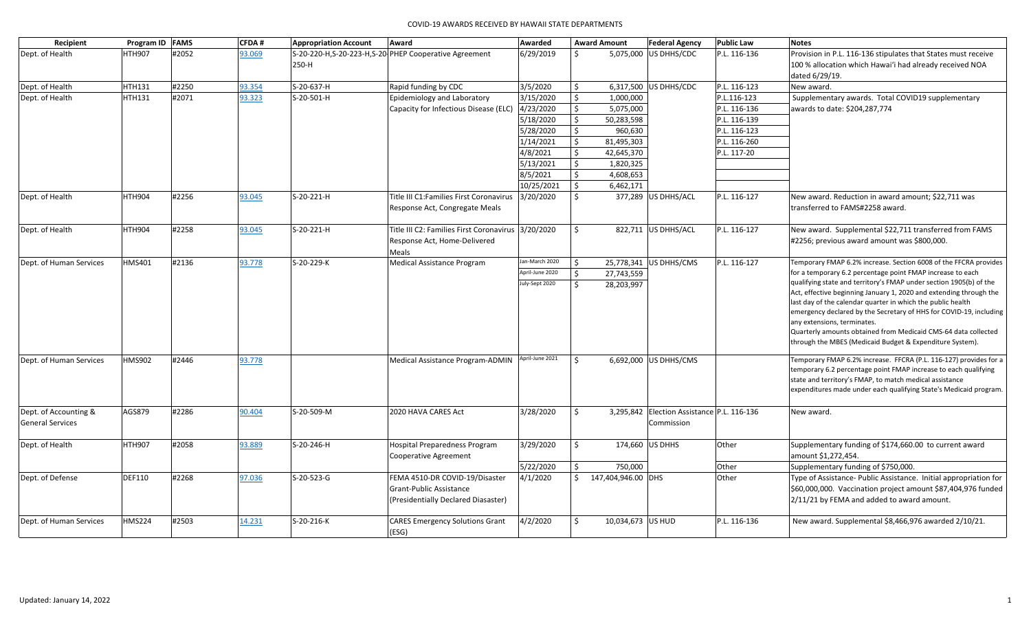| Recipient               | Program ID FAMS |       | <b>CFDA#</b> | <b>Appropriation Account</b> | Award                                                   | Awarded         |         | <b>Award Amount</b>    | <b>Federal Agency</b>                      | <b>Public Law</b> | <b>Notes</b>                                                                                                                      |
|-------------------------|-----------------|-------|--------------|------------------------------|---------------------------------------------------------|-----------------|---------|------------------------|--------------------------------------------|-------------------|-----------------------------------------------------------------------------------------------------------------------------------|
| Dept. of Health         | <b>HTH907</b>   | #2052 | 93.069       |                              | S-20-220-H, S-20-223-H, S-20-PHEP Cooperative Agreement | 6/29/2019       | Ŝ.      | 5,075,000 US DHHS/CDC  |                                            | P.L. 116-136      | Provision in P.L. 116-136 stipulates that States must receive                                                                     |
|                         |                 |       |              | 250-H                        |                                                         |                 |         |                        |                                            |                   | 100 % allocation which Hawai'i had already received NOA                                                                           |
|                         |                 |       |              |                              |                                                         |                 |         |                        |                                            |                   | dated 6/29/19.                                                                                                                    |
| Dept. of Health         | <b>HTH131</b>   | #2250 | 93.354       | S-20-637-H                   | Rapid funding by CDC                                    | 3/5/2020        | Ŝ.      | 6,317,500 US DHHS/CDC  |                                            | P.L. 116-123      | New award.                                                                                                                        |
| Dept. of Health         | HTH131          | #2071 | 93.323       | S-20-501-H                   | Epidemiology and Laboratory                             | 3/15/2020       | \$      | 1,000,000              |                                            | P.L.116-123       | Supplementary awards. Total COVID19 supplementary                                                                                 |
|                         |                 |       |              |                              | Capacity for Infectious Disease (ELC)                   | 4/23/2020       | \$      | 5,075,000              |                                            | P.L. 116-136      | awards to date: \$204,287,774                                                                                                     |
|                         |                 |       |              |                              |                                                         | 5/18/2020       | Ŝ.      | 50,283,598             |                                            | P.L. 116-139      |                                                                                                                                   |
|                         |                 |       |              |                              |                                                         | 5/28/2020       | \$      | 960,630                |                                            | P.L. 116-123      |                                                                                                                                   |
|                         |                 |       |              |                              |                                                         | 1/14/2021       | \$      | 81,495,303             |                                            | P.L. 116-260      |                                                                                                                                   |
|                         |                 |       |              |                              |                                                         | 4/8/2021        | Ś.      | 42,645,370             |                                            | P.L. 117-20       |                                                                                                                                   |
|                         |                 |       |              |                              |                                                         | 5/13/2021       | \$      | 1,820,325              |                                            |                   |                                                                                                                                   |
|                         |                 |       |              |                              |                                                         | 8/5/2021        | Ŝ.      | 4,608,653              |                                            |                   |                                                                                                                                   |
|                         |                 |       |              |                              |                                                         | 10/25/2021      | \$      | 6,462,171              |                                            |                   |                                                                                                                                   |
| Dept. of Health         | <b>HTH904</b>   | #2256 | 93.045       | S-20-221-H                   | Title III C1: Families First Coronavirus                | 3/20/2020       | Ŝ.      | 377,289 US DHHS/ACL    |                                            | P.L. 116-127      | New award. Reduction in award amount; \$22,711 was                                                                                |
|                         |                 |       |              |                              | Response Act, Congregate Meals                          |                 |         |                        |                                            |                   | transferred to FAMS#2258 award.                                                                                                   |
| Dept. of Health         | <b>HTH904</b>   | #2258 | 93.045       | S-20-221-H                   | Title III C2: Families First Coronavirus 3/20/2020      |                 | Ŝ.      |                        | 822,711   US DHHS/ACL                      | P.L. 116-127      | New award. Supplemental \$22,711 transferred from FAMS                                                                            |
|                         |                 |       |              |                              | Response Act, Home-Delivered                            |                 |         |                        |                                            |                   | #2256; previous award amount was \$800,000.                                                                                       |
|                         |                 |       |              |                              | Meals                                                   |                 |         |                        |                                            |                   |                                                                                                                                   |
| Dept. of Human Services | HMS401          | #2136 | 93.778       | S-20-229-K                   | <b>Medical Assistance Program</b>                       | Jan-March 2020  | $\zeta$ | 25,778,341 US DHHS/CMS |                                            | P.L. 116-127      | Temporary FMAP 6.2% increase. Section 6008 of the FFCRA provides                                                                  |
|                         |                 |       |              |                              |                                                         | April-June 2020 | Ŝ.      | 27,743,559             |                                            |                   | for a temporary 6.2 percentage point FMAP increase to each                                                                        |
|                         |                 |       |              |                              |                                                         | July-Sept 2020  | $\zeta$ | 28,203,997             |                                            |                   | qualifying state and territory's FMAP under section 1905(b) of the                                                                |
|                         |                 |       |              |                              |                                                         |                 |         |                        |                                            |                   | Act, effective beginning January 1, 2020 and extending through the<br>last day of the calendar quarter in which the public health |
|                         |                 |       |              |                              |                                                         |                 |         |                        |                                            |                   | emergency declared by the Secretary of HHS for COVID-19, including                                                                |
|                         |                 |       |              |                              |                                                         |                 |         |                        |                                            |                   | any extensions, terminates.                                                                                                       |
|                         |                 |       |              |                              |                                                         |                 |         |                        |                                            |                   | Quarterly amounts obtained from Medicaid CMS-64 data collected                                                                    |
|                         |                 |       |              |                              |                                                         |                 |         |                        |                                            |                   | through the MBES (Medicaid Budget & Expenditure System).                                                                          |
| Dept. of Human Services | HMS902          | #2446 | 93.778       |                              | Medical Assistance Program-ADMIN                        | April-June 2021 | Ŝ.      | 6,692,000 US DHHS/CMS  |                                            |                   | Temporary FMAP 6.2% increase. FFCRA (P.L. 116-127) provides for a                                                                 |
|                         |                 |       |              |                              |                                                         |                 |         |                        |                                            |                   | temporary 6.2 percentage point FMAP increase to each qualifying                                                                   |
|                         |                 |       |              |                              |                                                         |                 |         |                        |                                            |                   | state and territory's FMAP, to match medical assistance                                                                           |
|                         |                 |       |              |                              |                                                         |                 |         |                        |                                            |                   | expenditures made under each qualifying State's Medicaid program.                                                                 |
| Dept. of Accounting &   | AGS879          | #2286 | 90.404       | S-20-509-M                   | 2020 HAVA CARES Act                                     | 3/28/2020       | Ŝ.      |                        | 3,295,842 Election Assistance P.L. 116-136 |                   | New award.                                                                                                                        |
| <b>General Services</b> |                 |       |              |                              |                                                         |                 |         |                        | Commission                                 |                   |                                                                                                                                   |
| Dept. of Health         | <b>HTH907</b>   | #2058 | 93.889       | S-20-246-H                   | Hospital Preparedness Program                           | 3/29/2020       | Ŝ.      | 174,660 US DHHS        |                                            | Other             | Supplementary funding of \$174,660.00 to current award                                                                            |
|                         |                 |       |              |                              | <b>Cooperative Agreement</b>                            |                 |         |                        |                                            |                   | amount \$1,272,454.                                                                                                               |
|                         |                 |       |              |                              |                                                         | 5/22/2020       | \$      | 750,000                |                                            | Other             | Supplementary funding of \$750,000.                                                                                               |
| Dept. of Defense        | <b>DEF110</b>   | #2268 | 97.036       | S-20-523-G                   | FEMA 4510-DR COVID-19/Disaster                          | 4/1/2020        | Ś.      | 147,404,946.00 DHS     |                                            | Other             | Type of Assistance- Public Assistance. Initial appropriation for                                                                  |
|                         |                 |       |              |                              | Grant-Public Assistance                                 |                 |         |                        |                                            |                   | \$60,000,000. Vaccination project amount \$87,404,976 funded                                                                      |
|                         |                 |       |              |                              | (Presidentially Declared Diasaster)                     |                 |         |                        |                                            |                   | 2/11/21 by FEMA and added to award amount.                                                                                        |
| Dept. of Human Services | <b>HMS224</b>   | #2503 | 14.231       | S-20-216-K                   | <b>CARES Emergency Solutions Grant</b>                  | 4/2/2020        | \$      | 10,034,673   US HUD    |                                            | P.L. 116-136      | New award. Supplemental \$8,466,976 awarded 2/10/21.                                                                              |
|                         |                 |       |              |                              | (ESG)                                                   |                 |         |                        |                                            |                   |                                                                                                                                   |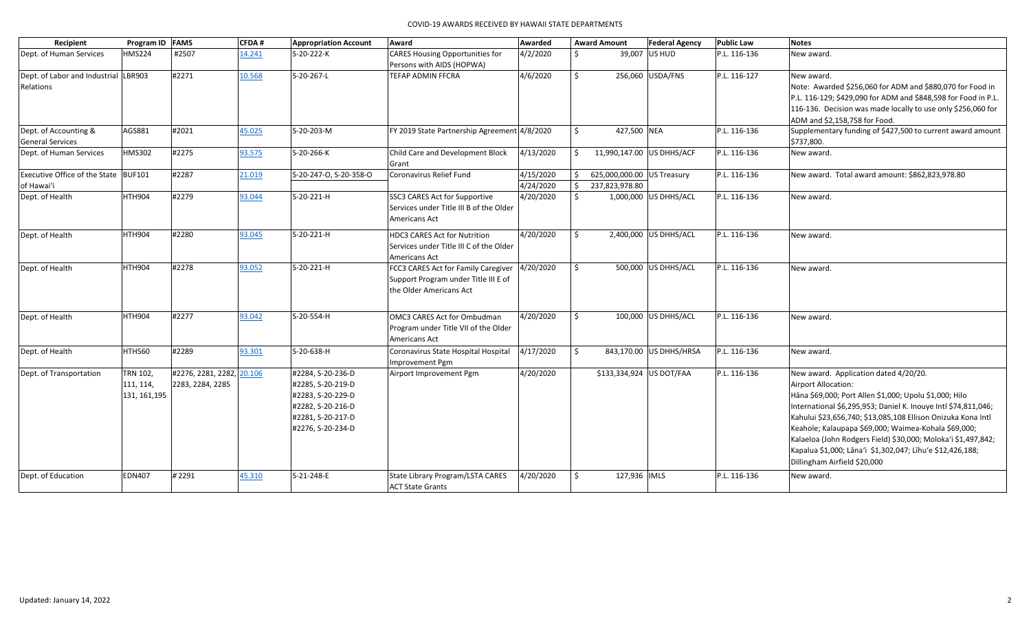| Recipient                                        | Program ID FAMS |                           | <b>CFDA#</b> | <b>Appropriation Account</b> | Award                                                       | Awarded   |              | <b>Award Amount</b>        | <b>Federal Agency</b>   | <b>Public Law</b> | <b>Notes</b>                                                             |
|--------------------------------------------------|-----------------|---------------------------|--------------|------------------------------|-------------------------------------------------------------|-----------|--------------|----------------------------|-------------------------|-------------------|--------------------------------------------------------------------------|
| Dept. of Human Services                          | <b>HMS224</b>   | #2507                     | 14.241       | S-20-222-K                   | <b>CARES Housing Opportunities for</b>                      | 4/2/2020  | Ś.           |                            | 39,007 US HUD           | P.L. 116-136      | New award.                                                               |
|                                                  |                 |                           |              |                              | Persons with AIDS (HOPWA)                                   |           |              |                            |                         |                   |                                                                          |
| Dept. of Labor and Industrial                    | LBR903          | #2271                     | 10.568       | S-20-267-L                   | <b>TEFAP ADMIN FFCRA</b>                                    | 4/6/2020  | Ŝ.           |                            | 256,060 USDA/FNS        | P.L. 116-127      | New award.                                                               |
| Relations                                        |                 |                           |              |                              |                                                             |           |              |                            |                         |                   | Note: Awarded \$256,060 for ADM and \$880,070 for Food in                |
|                                                  |                 |                           |              |                              |                                                             |           |              |                            |                         |                   | P.L. 116-129; \$429,090 for ADM and \$848,598 for Food in P.L.           |
|                                                  |                 |                           |              |                              |                                                             |           |              |                            |                         |                   | 116-136. Decision was made locally to use only \$256,060 for             |
|                                                  |                 |                           |              |                              |                                                             |           |              |                            |                         |                   | ADM and \$2,158,758 for Food.                                            |
| Dept. of Accounting &<br><b>General Services</b> | AGS881          | #2021                     | 45.025       | S-20-203-M                   | FY 2019 State Partnership Agreement 4/8/2020                |           | Ŝ.           | 427,500 NEA                |                         | P.L. 116-136      | Supplementary funding of \$427,500 to current award amount<br>\$737,800. |
| Dept. of Human Services                          | HMS302          | #2275                     | 93.575       | S-20-266-K                   | Child Care and Development Block                            | 4/13/2020 | \$           | 11,990,147.00 US DHHS/ACF  |                         | P.L. 116-136      | New award.                                                               |
|                                                  |                 |                           |              |                              | Grant                                                       |           |              |                            |                         |                   |                                                                          |
| Executive Office of the State BUF101             |                 | #2287                     | 21.019       | S-20-247-O, S-20-358-O       | Coronavirus Relief Fund                                     | 4/15/2020 | \$           | 625,000,000.00 US Treasury |                         | P.L. 116-136      | New award. Total award amount: \$862,823,978.80                          |
| of Hawai'i                                       |                 |                           |              |                              |                                                             | 4/24/2020 | Ś.           | 237,823,978.80             |                         |                   |                                                                          |
| Dept. of Health                                  | <b>HTH904</b>   | #2279                     | 93.044       | S-20-221-H                   | SSC3 CARES Act for Supportive                               | 4/20/2020 | Ŝ.           |                            | 1,000,000 US DHHS/ACL   | P.L. 116-136      | New award.                                                               |
|                                                  |                 |                           |              |                              | Services under Title III B of the Older                     |           |              |                            |                         |                   |                                                                          |
|                                                  |                 |                           |              |                              | Americans Act                                               |           |              |                            |                         |                   |                                                                          |
| Dept. of Health                                  | <b>HTH904</b>   | #2280                     | 93.045       | S-20-221-H                   | <b>HDC3 CARES Act for Nutrition</b>                         | 4/20/2020 | $\mathsf{S}$ |                            | 2,400,000 US DHHS/ACL   | P.L. 116-136      | New award.                                                               |
|                                                  |                 |                           |              |                              | Services under Title III C of the Older                     |           |              |                            |                         |                   |                                                                          |
|                                                  |                 |                           |              |                              | Americans Act                                               |           |              |                            |                         |                   |                                                                          |
| Dept. of Health                                  | <b>HTH904</b>   | #2278                     | 93.052       | S-20-221-H                   | FCC3 CARES Act for Family Caregiver                         | 4/20/2020 | Ŝ.           |                            | 500,000 US DHHS/ACL     | P.L. 116-136      | New award.                                                               |
|                                                  |                 |                           |              |                              | Support Program under Title III E of                        |           |              |                            |                         |                   |                                                                          |
|                                                  |                 |                           |              |                              | the Older Americans Act                                     |           |              |                            |                         |                   |                                                                          |
|                                                  |                 |                           |              |                              |                                                             |           |              |                            |                         |                   |                                                                          |
| Dept. of Health                                  | <b>HTH904</b>   | #2277                     | 93.042       | S-20-554-H                   | OMC3 CARES Act for Ombudman                                 | 4/20/2020 | S.           |                            | 100,000 US DHHS/ACL     | P.L. 116-136      | New award.                                                               |
|                                                  |                 |                           |              |                              | Program under Title VII of the Older                        |           |              |                            |                         |                   |                                                                          |
|                                                  |                 |                           |              |                              | Americans Act                                               |           |              |                            |                         |                   |                                                                          |
| Dept. of Health                                  | <b>HTH560</b>   | #2289                     | 93.301       | S-20-638-H                   | Coronavirus State Hospital Hospital                         | 4/17/2020 | Ŝ.           |                            | 843,170.00 US DHHS/HRSA | P.L. 116-136      | New award.                                                               |
|                                                  |                 |                           |              |                              | Improvement Pgm                                             |           |              |                            |                         |                   |                                                                          |
| Dept. of Transportation                          | TRN 102,        | #2276, 2281, 2282, 20.106 |              | #2284, S-20-236-D            | Airport Improvement Pgm                                     | 4/20/2020 |              | \$133,334,924 US DOT/FAA   |                         | P.L. 116-136      | New award. Application dated 4/20/20.                                    |
|                                                  | 111, 114,       | 2283, 2284, 2285          |              | #2285, S-20-219-D            |                                                             |           |              |                            |                         |                   | <b>Airport Allocation:</b>                                               |
|                                                  | 131, 161, 195   |                           |              | #2283, S-20-229-D            |                                                             |           |              |                            |                         |                   | Hāna \$69,000; Port Allen \$1,000; Upolu \$1,000; Hilo                   |
|                                                  |                 |                           |              | #2282, S-20-216-D            |                                                             |           |              |                            |                         |                   | International \$6,295,953; Daniel K. Inouye Intl \$74,811,046;           |
|                                                  |                 |                           |              | #2281, S-20-217-D            |                                                             |           |              |                            |                         |                   | Kahului \$23,656,740; \$13,085,108 Ellison Onizuka Kona Intl             |
|                                                  |                 |                           |              | #2276, S-20-234-D            |                                                             |           |              |                            |                         |                   | Keahole; Kalaupapa \$69,000; Waimea-Kohala \$69,000;                     |
|                                                  |                 |                           |              |                              |                                                             |           |              |                            |                         |                   | Kalaeloa (John Rodgers Field) \$30,000; Moloka'i \$1,497,842;            |
|                                                  |                 |                           |              |                              |                                                             |           |              |                            |                         |                   | Kapalua \$1,000; Lāna'i \$1,302,047; Līhu'e \$12,426,188;                |
|                                                  |                 |                           |              |                              |                                                             |           |              |                            |                         |                   | Dillingham Airfield \$20,000                                             |
|                                                  |                 |                           |              |                              |                                                             |           |              |                            |                         |                   |                                                                          |
| Dept. of Education                               | <b>EDN407</b>   | #2291                     | 45.310       | S-21-248-E                   | State Library Program/LSTA CARES<br><b>ACT State Grants</b> | 4/20/2020 | Ŝ.           | 127,936 IMLS               |                         | P.L. 116-136      | New award.                                                               |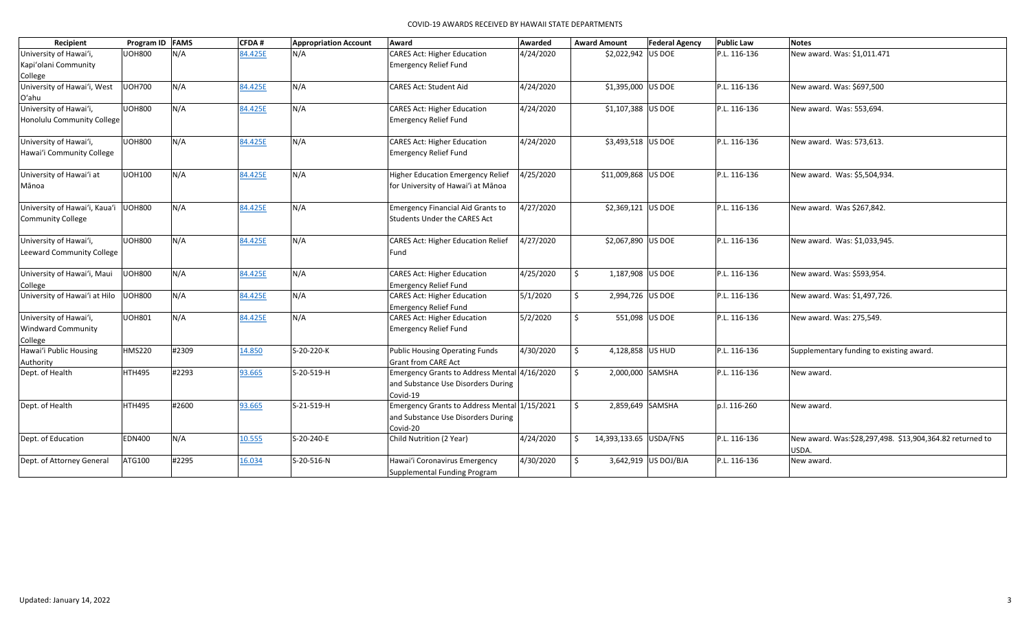|                                      | COVID-19 AWARDS RECEIVED BY HAWAII STATE DEPARTMENTS |       |         |                              |                                                                     |           |                              |                       |                   |                                                          |  |  |  |
|--------------------------------------|------------------------------------------------------|-------|---------|------------------------------|---------------------------------------------------------------------|-----------|------------------------------|-----------------------|-------------------|----------------------------------------------------------|--|--|--|
| Recipient                            | Program ID FAMS                                      |       | CFDA#   | <b>Appropriation Account</b> | Award                                                               | Awarded   | <b>Award Amount</b>          | <b>Federal Agency</b> | <b>Public Law</b> | <b>Notes</b>                                             |  |  |  |
| University of Hawai'i,               | <b>UOH800</b>                                        | N/A   | 84.425E | N/A                          | <b>CARES Act: Higher Education</b>                                  | 4/24/2020 | \$2,022,942 US DOE           |                       | P.L. 116-136      | New award. Was: \$1,011.471                              |  |  |  |
| Kapi'olani Community                 |                                                      |       |         |                              | <b>Emergency Relief Fund</b>                                        |           |                              |                       |                   |                                                          |  |  |  |
| College                              |                                                      |       |         |                              |                                                                     |           |                              |                       |                   |                                                          |  |  |  |
| University of Hawai'i, West<br>O'ahu | <b>UOH700</b>                                        | N/A   | 84.425E | N/A                          | <b>CARES Act: Student Aid</b>                                       | 4/24/2020 | \$1,395,000 US DOE           |                       | P.L. 116-136      | New award. Was: \$697,500                                |  |  |  |
| University of Hawai'i,               | <b>UOH800</b>                                        | N/A   | 84.425E | N/A                          | <b>CARES Act: Higher Education</b>                                  | 4/24/2020 | \$1,107,388 US DOE           |                       | P.L. 116-136      | New award. Was: 553,694.                                 |  |  |  |
| Honolulu Community College           |                                                      |       |         |                              | <b>Emergency Relief Fund</b>                                        |           |                              |                       |                   |                                                          |  |  |  |
| University of Hawai'i,               | <b>UOH800</b>                                        | N/A   | 84.425E | N/A                          | <b>CARES Act: Higher Education</b>                                  | 4/24/2020 | \$3,493,518 US DOE           |                       | P.L. 116-136      | New award. Was: 573,613.                                 |  |  |  |
| Hawai'i Community College            |                                                      |       |         |                              | <b>Emergency Relief Fund</b>                                        |           |                              |                       |                   |                                                          |  |  |  |
| University of Hawai'i at             | <b>UOH100</b>                                        | N/A   | 84.425E | N/A                          | <b>Higher Education Emergency Relief</b>                            | 4/25/2020 | \$11,009,868 US DOE          |                       | P.L. 116-136      | New award. Was: \$5,504,934.                             |  |  |  |
| Mānoa                                |                                                      |       |         |                              | for University of Hawai'i at Mānoa                                  |           |                              |                       |                   |                                                          |  |  |  |
| University of Hawai'i, Kaua'i UOH800 |                                                      | N/A   | 84.425E | N/A                          | <b>Emergency Financial Aid Grants to</b>                            | 4/27/2020 | \$2,369,121 US DOE           |                       | P.L. 116-136      | New award. Was \$267,842.                                |  |  |  |
| <b>Community College</b>             |                                                      |       |         |                              | <b>Students Under the CARES Act</b>                                 |           |                              |                       |                   |                                                          |  |  |  |
| University of Hawai'i,               | <b>UOH800</b>                                        | N/A   | 84.425E | N/A                          | <b>CARES Act: Higher Education Relief</b>                           | 4/27/2020 | \$2,067,890 US DOE           |                       | P.L. 116-136      | New award. Was: \$1,033,945.                             |  |  |  |
| Leeward Community College            |                                                      |       |         |                              | Fund                                                                |           |                              |                       |                   |                                                          |  |  |  |
| University of Hawai'i, Maui          | <b>UOH800</b>                                        | N/A   | 84.425E | N/A                          | <b>CARES Act: Higher Education</b>                                  | 4/25/2020 | Ŝ.<br>1,187,908 US DOE       |                       | P.L. 116-136      | New award. Was: \$593,954.                               |  |  |  |
| College                              |                                                      |       |         |                              | <b>Emergency Relief Fund</b>                                        |           |                              |                       |                   |                                                          |  |  |  |
| University of Hawai'i at Hilo UOH800 |                                                      | N/A   | 84.425E | N/A                          | <b>CARES Act: Higher Education</b><br><b>Emergency Relief Fund</b>  | 5/1/2020  | Ŝ.<br>2,994,726 US DOE       |                       | P.L. 116-136      | New award. Was: \$1,497,726.                             |  |  |  |
| University of Hawai'i,               | <b>UOH801</b>                                        | N/A   | 84.425E | N/A                          | <b>CARES Act: Higher Education</b>                                  | 5/2/2020  | \$                           | 551,098 US DOE        | P.L. 116-136      | New award. Was: 275,549.                                 |  |  |  |
| <b>Windward Community</b>            |                                                      |       |         |                              | <b>Emergency Relief Fund</b>                                        |           |                              |                       |                   |                                                          |  |  |  |
| College                              |                                                      |       |         |                              |                                                                     |           |                              |                       |                   |                                                          |  |  |  |
| Hawai'i Public Housing<br>Authority  | <b>HMS220</b>                                        | #2309 | 14.850  | S-20-220-K                   | <b>Public Housing Operating Funds</b><br><b>Grant from CARE Act</b> | 4/30/2020 | 4,128,858 US HUD<br>Ŝ.       |                       | P.L. 116-136      | Supplementary funding to existing award.                 |  |  |  |
| Dept. of Health                      | <b>HTH495</b>                                        | #2293 | 93.665  | S-20-519-H                   | Emergency Grants to Address Mental 4/16/2020                        |           | \$                           | 2,000,000 SAMSHA      | P.L. 116-136      | New award.                                               |  |  |  |
|                                      |                                                      |       |         |                              | and Substance Use Disorders During<br>Covid-19                      |           |                              |                       |                   |                                                          |  |  |  |
| Dept. of Health                      | HTH495                                               | #2600 | 93.665  | S-21-519-H                   | Emergency Grants to Address Mental 1/15/2021                        |           | Ŝ.                           | 2,859,649 SAMSHA      | p.l. 116-260      | New award.                                               |  |  |  |
|                                      |                                                      |       |         |                              | and Substance Use Disorders During                                  |           |                              |                       |                   |                                                          |  |  |  |
| Dept. of Education                   | <b>EDN400</b>                                        | N/A   | 10.555  | S-20-240-E                   | Covid-20<br>Child Nutrition (2 Year)                                | 4/24/2020 | 14,393,133.65 USDA/FNS<br>Ŝ. |                       | P.L. 116-136      | New award. Was:\$28,297,498. \$13,904,364.82 returned to |  |  |  |
|                                      |                                                      |       |         |                              |                                                                     |           |                              |                       |                   | USDA.                                                    |  |  |  |
| Dept. of Attorney General            | ATG100                                               | #2295 | 16.034  | S-20-516-N                   | Hawai'i Coronavirus Emergency                                       | 4/30/2020 | Ŝ.                           | 3,642,919 US DOJ/BJA  | P.L. 116-136      | New award.                                               |  |  |  |
|                                      |                                                      |       |         |                              | Supplemental Funding Program                                        |           |                              |                       |                   |                                                          |  |  |  |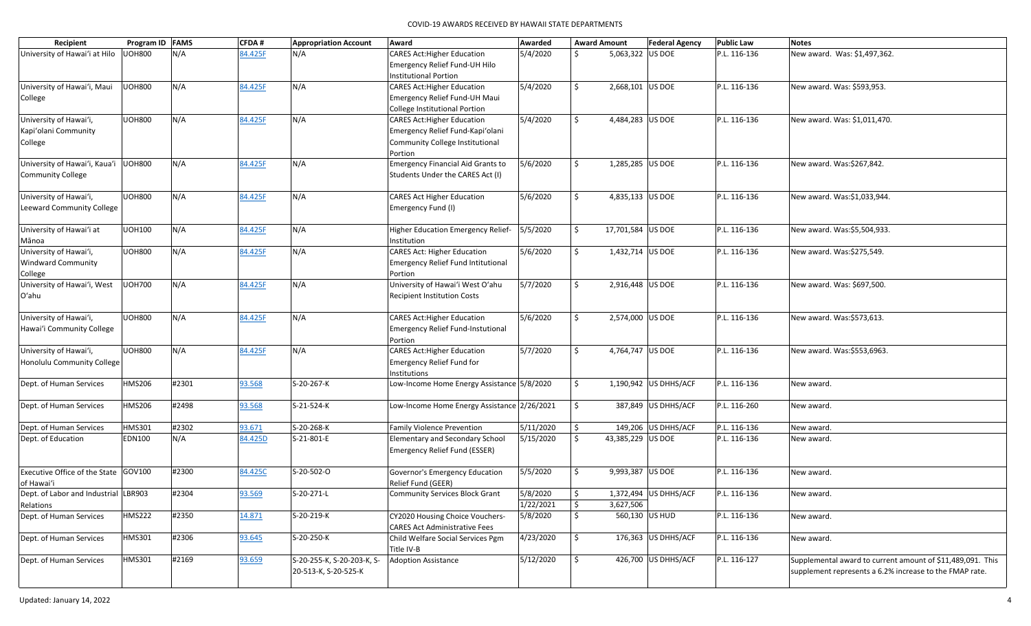| Recipient                              | Program ID FAMS |       | <b>CFDA#</b> | <b>Appropriation Account</b> | Award                                                      | Awarded   |                     | <b>Award Amount</b> | <b>Federal Agency</b> | <b>Public Law</b> | <b>Notes</b>                                               |
|----------------------------------------|-----------------|-------|--------------|------------------------------|------------------------------------------------------------|-----------|---------------------|---------------------|-----------------------|-------------------|------------------------------------------------------------|
| University of Hawai'i at Hilo          | <b>UOH800</b>   | N/A   | 84.425F      | N/A                          | <b>CARES Act: Higher Education</b>                         | 5/4/2020  | Ŝ.                  | 5,063,322 US DOE    |                       | P.L. 116-136      | New award. Was: \$1,497,362.                               |
|                                        |                 |       |              |                              | Emergency Relief Fund-UH Hilo                              |           |                     |                     |                       |                   |                                                            |
|                                        |                 |       |              |                              | <b>Institutional Portion</b>                               |           |                     |                     |                       |                   |                                                            |
| University of Hawai'i, Maui            | <b>UOH800</b>   | N/A   | 84.425F      | N/A                          | <b>CARES Act: Higher Education</b>                         | 5/4/2020  | \$                  | 2,668,101 US DOE    |                       | P.L. 116-136      | New award. Was: \$593,953.                                 |
| College                                |                 |       |              |                              | Emergency Relief Fund-UH Maui                              |           |                     |                     |                       |                   |                                                            |
|                                        |                 |       |              |                              | College Institutional Portion                              |           |                     |                     |                       |                   |                                                            |
| University of Hawai'i,                 | <b>UOH800</b>   | N/A   | 84.425F      | N/A                          | <b>CARES Act: Higher Education</b>                         | 5/4/2020  | Ŝ.                  | 4,484,283 US DOE    |                       | P.L. 116-136      | New award. Was: \$1,011,470.                               |
| Kapi'olani Community                   |                 |       |              |                              | Emergency Relief Fund-Kapi'olani                           |           |                     |                     |                       |                   |                                                            |
| College                                |                 |       |              |                              | Community College Institutional                            |           |                     |                     |                       |                   |                                                            |
|                                        |                 |       |              |                              | Portion                                                    |           |                     |                     |                       |                   |                                                            |
| University of Hawai'i, Kaua'i UOH800   |                 | N/A   | 84.425F      | N/A                          | <b>Emergency Financial Aid Grants to</b>                   | 5/6/2020  | \$                  | 1,285,285 US DOE    |                       | P.L. 116-136      | New award. Was:\$267,842.                                  |
| <b>Community College</b>               |                 |       |              |                              | Students Under the CARES Act (I)                           |           |                     |                     |                       |                   |                                                            |
|                                        |                 |       |              |                              |                                                            |           |                     |                     |                       |                   |                                                            |
| University of Hawai'i,                 | <b>UOH800</b>   | N/A   | 84.425F      | N/A                          | <b>CARES Act Higher Education</b>                          | 5/6/2020  | Ŝ.                  | 4,835,133 US DOE    |                       | P.L. 116-136      | New award. Was:\$1,033,944.                                |
| Leeward Community College              |                 |       |              |                              | Emergency Fund (I)                                         |           |                     |                     |                       |                   |                                                            |
|                                        |                 |       |              |                              |                                                            |           |                     |                     |                       |                   |                                                            |
| University of Hawai'i at               | <b>UOH100</b>   | N/A   | 84.425F      | N/A                          | Higher Education Emergency Relief-                         | 5/5/2020  | \$                  | 17,701,584 US DOE   |                       | P.L. 116-136      | New award. Was:\$5,504,933.                                |
| Mānoa                                  |                 |       |              |                              | Institution                                                |           |                     |                     |                       |                   |                                                            |
| University of Hawai'i,                 | <b>UOH800</b>   | N/A   | 84.425F      | N/A                          | <b>CARES Act: Higher Education</b>                         | 5/6/2020  | \$                  | 1,432,714 US DOE    |                       | P.L. 116-136      | New award. Was:\$275,549.                                  |
| <b>Windward Community</b>              |                 |       |              |                              | <b>Emergency Relief Fund Intitutional</b>                  |           |                     |                     |                       |                   |                                                            |
|                                        |                 |       |              |                              |                                                            |           |                     |                     |                       |                   |                                                            |
| College<br>University of Hawai'i, West | <b>UOH700</b>   | N/A   | 84.425F      | N/A                          | Portion<br>University of Hawai'i West O'ahu                | 5/7/2020  | \$                  | 2,916,448 US DOE    |                       | P.L. 116-136      |                                                            |
|                                        |                 |       |              |                              |                                                            |           |                     |                     |                       |                   | New award. Was: \$697,500.                                 |
| O'ahu                                  |                 |       |              |                              | <b>Recipient Institution Costs</b>                         |           |                     |                     |                       |                   |                                                            |
| University of Hawai'i,                 | <b>UOH800</b>   | N/A   | 84.425F      | N/A                          | <b>CARES Act: Higher Education</b>                         | 5/6/2020  | Ŝ.                  | 2,574,000 US DOE    |                       | P.L. 116-136      | New award. Was:\$573,613.                                  |
| Hawai'i Community College              |                 |       |              |                              | <b>Emergency Relief Fund-Instutional</b>                   |           |                     |                     |                       |                   |                                                            |
|                                        |                 |       |              |                              |                                                            |           |                     |                     |                       |                   |                                                            |
|                                        | <b>UOH800</b>   | N/A   | 84.425F      | N/A                          | Portion<br><b>CARES Act: Higher Education</b>              | 5/7/2020  | \$                  | 4,764,747 US DOE    |                       | P.L. 116-136      | New award. Was:\$553,6963.                                 |
| University of Hawai'i,                 |                 |       |              |                              |                                                            |           |                     |                     |                       |                   |                                                            |
| Honolulu Community College             |                 |       |              |                              | Emergency Relief Fund for                                  |           |                     |                     |                       |                   |                                                            |
| Dept. of Human Services                | <b>HMS206</b>   | #2301 | 93.568       | S-20-267-K                   | Institutions<br>Low-Income Home Energy Assistance 5/8/2020 |           | \$                  |                     | 1,190,942 US DHHS/ACF | P.L. 116-136      | New award.                                                 |
|                                        |                 |       |              |                              |                                                            |           |                     |                     |                       |                   |                                                            |
| Dept. of Human Services                | <b>HMS206</b>   | #2498 | 93.568       | S-21-524-K                   | Low-Income Home Energy Assistance 2/26/2021                |           | \$                  |                     | 387,849 US DHHS/ACF   | P.L. 116-260      |                                                            |
|                                        |                 |       |              |                              |                                                            |           |                     |                     |                       |                   | New award.                                                 |
| Dept. of Human Services                | <b>HMS301</b>   | #2302 | 93.671       | S-20-268-K                   | <b>Family Violence Prevention</b>                          | 5/11/2020 | \$                  |                     | 149,206 US DHHS/ACF   | P.L. 116-136      | New award.                                                 |
| Dept. of Education                     | <b>EDN100</b>   | N/A   | 84.425D      | S-21-801-E                   | <b>Elementary and Secondary School</b>                     | 5/15/2020 | \$                  | 43,385,229 US DOE   |                       | P.L. 116-136      | New award.                                                 |
|                                        |                 |       |              |                              | Emergency Relief Fund (ESSER)                              |           |                     |                     |                       |                   |                                                            |
|                                        |                 |       |              |                              |                                                            |           |                     |                     |                       |                   |                                                            |
| Executive Office of the State GOV100   |                 | #2300 | 84.425C      | S-20-502-O                   | Governor's Emergency Education                             | 5/5/2020  | Ŝ.                  | 9,993,387 US DOE    |                       | P.L. 116-136      | New award.                                                 |
|                                        |                 |       |              |                              |                                                            |           |                     |                     |                       |                   |                                                            |
| of Hawai'i                             |                 | #2304 |              | S-20-271-L                   | Relief Fund (GEER)                                         |           |                     |                     |                       | P.L. 116-136      |                                                            |
| Dept. of Labor and Industrial LBR903   |                 |       | 93.569       |                              | Community Services Block Grant                             | 5/8/2020  | $\frac{1}{2}$       |                     | 1,372,494 US DHHS/ACF |                   | New award.                                                 |
| Relations                              |                 |       |              |                              |                                                            | 1/22/2021 | $\ddot{\phi}$       | 3,627,506           |                       |                   |                                                            |
| Dept. of Human Services                | <b>HMS222</b>   | #2350 | 14.871       | S-20-219-K                   | CY2020 Housing Choice Vouchers-                            | 5/8/2020  | \$                  |                     | 560,130 US HUD        | P.L. 116-136      | New award.                                                 |
|                                        |                 |       |              |                              | <b>CARES Act Administrative Fees</b>                       |           |                     |                     |                       |                   |                                                            |
| Dept. of Human Services                | <b>HMS301</b>   | #2306 | 93.645       | S-20-250-K                   | Child Welfare Social Services Pgm                          | 4/23/2020 | $\ddot{\mathsf{S}}$ |                     | 176,363 US DHHS/ACF   | P.L. 116-136      | New award.                                                 |
|                                        |                 |       |              |                              | Title IV-B                                                 |           |                     |                     |                       |                   |                                                            |
| Dept. of Human Services                | <b>HMS301</b>   | #2169 | 93.659       | S-20-255-K, S-20-203-K, S-   | <b>Adoption Assistance</b>                                 | 5/12/2020 | $\ddot{\mathsf{S}}$ |                     | 426,700 US DHHS/ACF   | P.L. 116-127      | Supplemental award to current amount of \$11,489,091. This |
|                                        |                 |       |              | 20-513-K, S-20-525-K         |                                                            |           |                     |                     |                       |                   | supplement represents a 6.2% increase to the FMAP rate.    |
|                                        |                 |       |              |                              |                                                            |           |                     |                     |                       |                   |                                                            |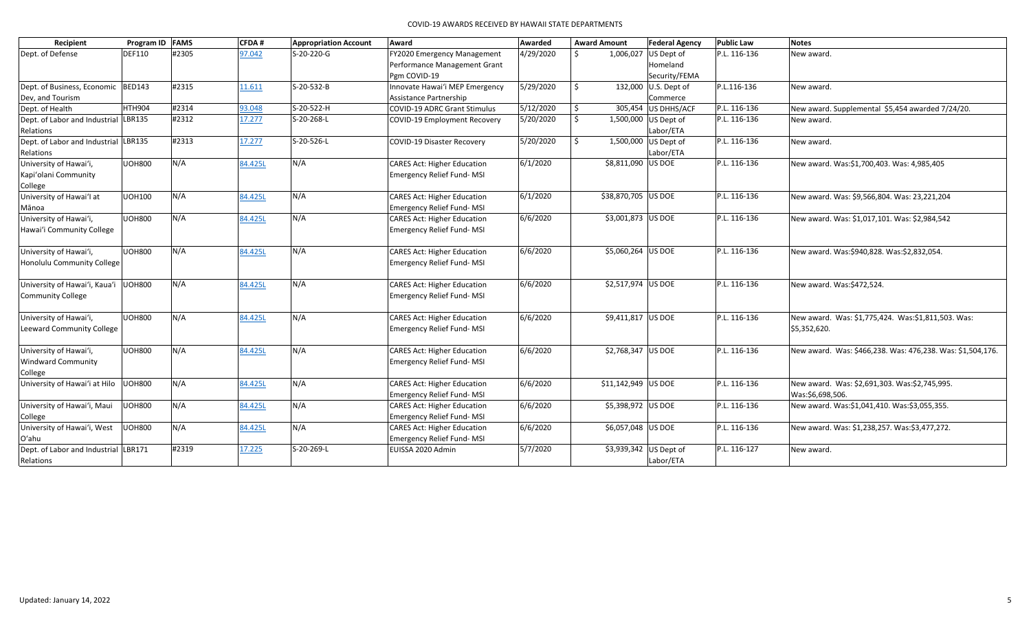|                                      |               | CFDA#                                       | <b>Appropriation Account</b> | Award                               | Awarded                                                                                                                                                                                                                                                                                                                                                                           |                                                                       | <b>Federal Agency</b> | <b>Public Law</b>                                                                                                                                                                                                                                                                                                                                                                | <b>Notes</b>                                               |
|--------------------------------------|---------------|---------------------------------------------|------------------------------|-------------------------------------|-----------------------------------------------------------------------------------------------------------------------------------------------------------------------------------------------------------------------------------------------------------------------------------------------------------------------------------------------------------------------------------|-----------------------------------------------------------------------|-----------------------|----------------------------------------------------------------------------------------------------------------------------------------------------------------------------------------------------------------------------------------------------------------------------------------------------------------------------------------------------------------------------------|------------------------------------------------------------|
| <b>DEF110</b>                        | #2305         | 97.042                                      | S-20-220-G                   | FY2020 Emergency Management         | 4/29/2020                                                                                                                                                                                                                                                                                                                                                                         | Ŝ.                                                                    |                       | P.L. 116-136                                                                                                                                                                                                                                                                                                                                                                     | New award.                                                 |
|                                      |               |                                             |                              | Performance Management Grant        |                                                                                                                                                                                                                                                                                                                                                                                   |                                                                       | Homeland              |                                                                                                                                                                                                                                                                                                                                                                                  |                                                            |
|                                      |               |                                             |                              | Pgm COVID-19                        |                                                                                                                                                                                                                                                                                                                                                                                   |                                                                       | Security/FEMA         |                                                                                                                                                                                                                                                                                                                                                                                  |                                                            |
| Dept. of Business, Economic BED143   | #2315         | 11.611                                      | S-20-532-B                   | Innovate Hawai'i MEP Emergency      | 5/29/2020                                                                                                                                                                                                                                                                                                                                                                         | \$                                                                    |                       | P.L.116-136                                                                                                                                                                                                                                                                                                                                                                      | New award.                                                 |
|                                      |               |                                             |                              | Assistance Partnership              |                                                                                                                                                                                                                                                                                                                                                                                   |                                                                       | Commerce              |                                                                                                                                                                                                                                                                                                                                                                                  |                                                            |
| HTH904                               | #2314         | 93.048                                      | S-20-522-H                   | <b>COVID-19 ADRC Grant Stimulus</b> |                                                                                                                                                                                                                                                                                                                                                                                   | \$                                                                    |                       | P.L. 116-136                                                                                                                                                                                                                                                                                                                                                                     | New award. Supplemental \$5,454 awarded 7/24/20.           |
| Dept. of Labor and Industrial LBR135 | #2312         | 17.277                                      | S-20-268-L                   | COVID-19 Employment Recovery        | 5/20/2020                                                                                                                                                                                                                                                                                                                                                                         | S.                                                                    |                       | P.L. 116-136                                                                                                                                                                                                                                                                                                                                                                     | New award.                                                 |
|                                      |               |                                             |                              |                                     |                                                                                                                                                                                                                                                                                                                                                                                   |                                                                       | Labor/ETA             |                                                                                                                                                                                                                                                                                                                                                                                  |                                                            |
| Dept. of Labor and Industrial LBR135 | #2313         | 17.277                                      | S-20-526-L                   | <b>COVID-19 Disaster Recovery</b>   | 5/20/2020                                                                                                                                                                                                                                                                                                                                                                         | \$                                                                    |                       | P.L. 116-136                                                                                                                                                                                                                                                                                                                                                                     | New award.                                                 |
|                                      |               |                                             |                              |                                     |                                                                                                                                                                                                                                                                                                                                                                                   |                                                                       | Labor/ETA             |                                                                                                                                                                                                                                                                                                                                                                                  |                                                            |
| <b>UOH800</b>                        | N/A           | 84.425L                                     | N/A                          | <b>CARES Act: Higher Education</b>  | 6/1/2020                                                                                                                                                                                                                                                                                                                                                                          |                                                                       |                       | P.L. 116-136                                                                                                                                                                                                                                                                                                                                                                     | New award. Was:\$1,700,403. Was: 4,985,405                 |
|                                      |               |                                             |                              | <b>Emergency Relief Fund-MSI</b>    |                                                                                                                                                                                                                                                                                                                                                                                   |                                                                       |                       |                                                                                                                                                                                                                                                                                                                                                                                  |                                                            |
|                                      |               |                                             |                              |                                     |                                                                                                                                                                                                                                                                                                                                                                                   |                                                                       |                       |                                                                                                                                                                                                                                                                                                                                                                                  |                                                            |
| <b>UOH100</b>                        | N/A           | 84.425L                                     | N/A                          | <b>CARES Act: Higher Education</b>  | 6/1/2020                                                                                                                                                                                                                                                                                                                                                                          |                                                                       |                       | P.L. 116-136                                                                                                                                                                                                                                                                                                                                                                     | New award. Was: \$9,566,804. Was: 23,221,204               |
|                                      |               |                                             |                              |                                     |                                                                                                                                                                                                                                                                                                                                                                                   |                                                                       |                       |                                                                                                                                                                                                                                                                                                                                                                                  |                                                            |
| <b>UOH800</b>                        | N/A           | 84.425L                                     | N/A                          |                                     |                                                                                                                                                                                                                                                                                                                                                                                   |                                                                       |                       | P.L. 116-136                                                                                                                                                                                                                                                                                                                                                                     | New award. Was: \$1,017,101. Was: \$2,984,542              |
|                                      |               |                                             |                              |                                     |                                                                                                                                                                                                                                                                                                                                                                                   |                                                                       |                       |                                                                                                                                                                                                                                                                                                                                                                                  |                                                            |
|                                      |               |                                             |                              |                                     |                                                                                                                                                                                                                                                                                                                                                                                   |                                                                       |                       |                                                                                                                                                                                                                                                                                                                                                                                  |                                                            |
| <b>UOH800</b>                        |               | 84.425L                                     | N/A                          |                                     | 6/6/2020                                                                                                                                                                                                                                                                                                                                                                          |                                                                       |                       |                                                                                                                                                                                                                                                                                                                                                                                  | New award. Was:\$940,828. Was:\$2,832,054.                 |
|                                      |               |                                             |                              |                                     |                                                                                                                                                                                                                                                                                                                                                                                   |                                                                       |                       |                                                                                                                                                                                                                                                                                                                                                                                  |                                                            |
|                                      |               |                                             |                              |                                     |                                                                                                                                                                                                                                                                                                                                                                                   |                                                                       |                       |                                                                                                                                                                                                                                                                                                                                                                                  |                                                            |
| University of Hawai'i, Kaua'i UOH800 |               | 84.425L                                     | N/A                          |                                     |                                                                                                                                                                                                                                                                                                                                                                                   |                                                                       |                       | P.L. 116-136                                                                                                                                                                                                                                                                                                                                                                     | New award. Was:\$472,524.                                  |
|                                      |               |                                             |                              |                                     |                                                                                                                                                                                                                                                                                                                                                                                   |                                                                       |                       |                                                                                                                                                                                                                                                                                                                                                                                  |                                                            |
|                                      |               |                                             |                              |                                     |                                                                                                                                                                                                                                                                                                                                                                                   |                                                                       |                       |                                                                                                                                                                                                                                                                                                                                                                                  |                                                            |
| <b>UOH800</b>                        | N/A           | 84.425L                                     | N/A                          | <b>CARES Act: Higher Education</b>  | 6/6/2020                                                                                                                                                                                                                                                                                                                                                                          |                                                                       |                       | P.L. 116-136                                                                                                                                                                                                                                                                                                                                                                     | New award. Was: \$1,775,424. Was:\$1,811,503. Was:         |
|                                      |               |                                             |                              | <b>Emergency Relief Fund-MSI</b>    |                                                                                                                                                                                                                                                                                                                                                                                   |                                                                       |                       |                                                                                                                                                                                                                                                                                                                                                                                  | \$5,352,620.                                               |
|                                      |               |                                             |                              |                                     |                                                                                                                                                                                                                                                                                                                                                                                   |                                                                       |                       |                                                                                                                                                                                                                                                                                                                                                                                  |                                                            |
| <b>UOH800</b>                        | N/A           | 84.425L                                     | N/A                          | <b>CARES Act: Higher Education</b>  | 6/6/2020                                                                                                                                                                                                                                                                                                                                                                          |                                                                       |                       | P.L. 116-136                                                                                                                                                                                                                                                                                                                                                                     | New award. Was: \$466,238. Was: 476,238. Was: \$1,504,176. |
|                                      |               |                                             |                              | Emergency Relief Fund-MSI           |                                                                                                                                                                                                                                                                                                                                                                                   |                                                                       |                       |                                                                                                                                                                                                                                                                                                                                                                                  |                                                            |
|                                      |               |                                             |                              |                                     |                                                                                                                                                                                                                                                                                                                                                                                   |                                                                       |                       |                                                                                                                                                                                                                                                                                                                                                                                  |                                                            |
| University of Hawai'i at Hilo UOH800 | N/A           |                                             | N/A                          |                                     |                                                                                                                                                                                                                                                                                                                                                                                   |                                                                       |                       | P.L. 116-136                                                                                                                                                                                                                                                                                                                                                                     | New award. Was: \$2,691,303. Was:\$2,745,995.              |
|                                      |               |                                             |                              | <b>Emergency Relief Fund-MSI</b>    |                                                                                                                                                                                                                                                                                                                                                                                   |                                                                       |                       |                                                                                                                                                                                                                                                                                                                                                                                  | Was:\$6,698,506.                                           |
|                                      |               |                                             |                              |                                     |                                                                                                                                                                                                                                                                                                                                                                                   |                                                                       |                       |                                                                                                                                                                                                                                                                                                                                                                                  | New award. Was:\$1,041,410. Was:\$3,055,355.               |
|                                      |               |                                             |                              |                                     |                                                                                                                                                                                                                                                                                                                                                                                   |                                                                       |                       |                                                                                                                                                                                                                                                                                                                                                                                  |                                                            |
| <b>UOH800</b>                        |               | 84.425L                                     |                              |                                     |                                                                                                                                                                                                                                                                                                                                                                                   |                                                                       |                       | P.L. 116-136                                                                                                                                                                                                                                                                                                                                                                     | New award. Was: \$1,238,257. Was:\$3,477,272.              |
|                                      |               |                                             |                              | Emergency Relief Fund-MSI           |                                                                                                                                                                                                                                                                                                                                                                                   |                                                                       |                       |                                                                                                                                                                                                                                                                                                                                                                                  |                                                            |
| Dept. of Labor and Industrial LBR171 | #2319         | 17.225                                      | S-20-269-L                   | EUISSA 2020 Admin                   | 5/7/2020                                                                                                                                                                                                                                                                                                                                                                          |                                                                       |                       | P.L. 116-127                                                                                                                                                                                                                                                                                                                                                                     | New award.                                                 |
|                                      |               |                                             |                              |                                     |                                                                                                                                                                                                                                                                                                                                                                                   |                                                                       | Labor/ETA             |                                                                                                                                                                                                                                                                                                                                                                                  |                                                            |
|                                      | <b>UOH800</b> | Program ID FAMS<br>N/A<br>N/A<br>N/A<br>N/A | 84.425L<br>84.425L           | N/A<br>N/A                          | Emergency Relief Fund-MSI<br><b>CARES Act: Higher Education</b><br>Emergency Relief Fund-MSI<br><b>CARES Act: Higher Education</b><br>Emergency Relief Fund-MSI<br><b>CARES Act: Higher Education</b><br>Emergency Relief Fund-MSI<br><b>CARES Act: Higher Education</b><br><b>CARES Act: Higher Education</b><br>Emergency Relief Fund-MSI<br><b>CARES Act: Higher Education</b> | 5/12/2020<br>6/6/2020<br>6/6/2020<br>6/6/2020<br>6/6/2020<br>6/6/2020 | <b>Award Amount</b>   | 1,006,027<br>US Dept of<br>132,000 U.S. Dept of<br>305,454 US DHHS/ACF<br>1,500,000 US Dept of<br>1,500,000 US Dept of<br>\$8,811,090   US DOE<br>\$38,870,705 US DOE<br>\$3,001,873 US DOE<br>\$5,060,264 US DOE<br>\$2,517,974 US DOE<br>\$9,411,817 US DOE<br>\$2,768,347 US DOE<br>\$11,142,949 US DOE<br>\$5,398,972 US DOE<br>\$6,057,048 US DOE<br>\$3,939,342 US Dept of | P.L. 116-136<br>P.L. 116-136                               |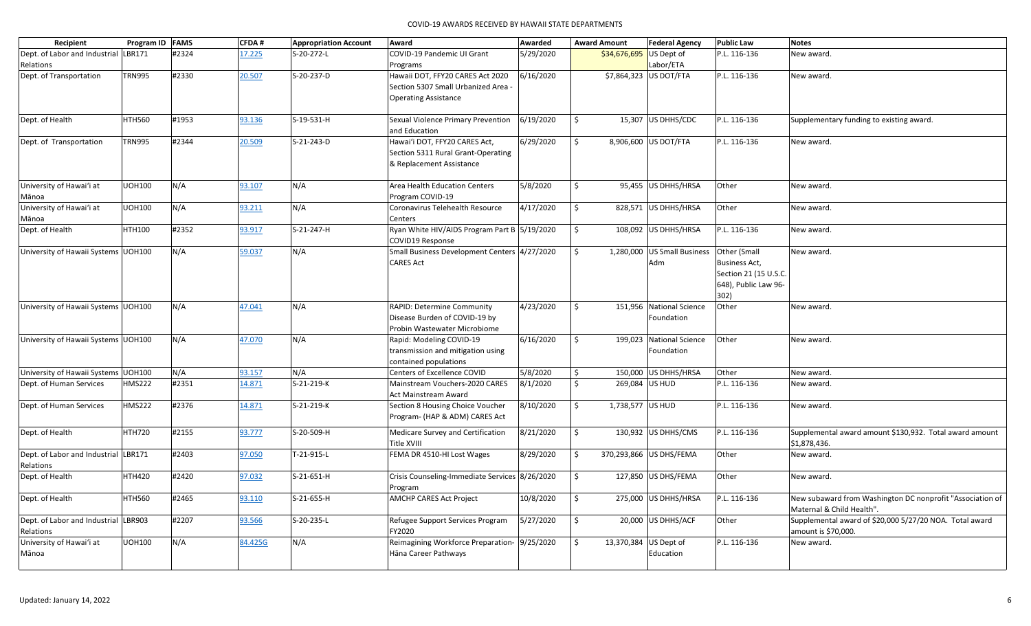| Recipient                            | Program ID FAMS |       | CFDA#   | <b>Appropriation Account</b> | Award                                          | Awarded   | <b>Award Amount</b> | <b>Federal Agency</b>       | <b>Public Law</b>    | <b>Notes</b>                                              |
|--------------------------------------|-----------------|-------|---------|------------------------------|------------------------------------------------|-----------|---------------------|-----------------------------|----------------------|-----------------------------------------------------------|
| Dept. of Labor and Industrial LBR171 |                 | #2324 | 17.225  | S-20-272-L                   | COVID-19 Pandemic UI Grant                     | 5/29/2020 | \$34,676,695        | US Dept of                  | P.L. 116-136         | New award.                                                |
| Relations                            |                 |       |         |                              | Programs                                       |           |                     | Labor/ETA                   |                      |                                                           |
| Dept. of Transportation              | <b>TRN995</b>   | #2330 | 20.507  | S-20-237-D                   | Hawaii DOT, FFY20 CARES Act 2020               | 6/16/2020 |                     | \$7,864,323 US DOT/FTA      | P.L. 116-136         | New award.                                                |
|                                      |                 |       |         |                              | Section 5307 Small Urbanized Area              |           |                     |                             |                      |                                                           |
|                                      |                 |       |         |                              | <b>Operating Assistance</b>                    |           |                     |                             |                      |                                                           |
|                                      |                 |       |         |                              |                                                |           |                     |                             |                      |                                                           |
| Dept. of Health                      | <b>HTH560</b>   | #1953 | 93.136  | S-19-531-H                   | Sexual Violence Primary Prevention             | 6/19/2020 | Ŝ.                  | 15,307 US DHHS/CDC          | P.L. 116-136         | Supplementary funding to existing award.                  |
|                                      |                 |       |         |                              | and Education                                  |           |                     |                             |                      |                                                           |
| Dept. of Transportation              | <b>TRN995</b>   | #2344 | 20.509  | S-21-243-D                   | Hawai'i DOT, FFY20 CARES Act,                  | 6/29/2020 | \$                  | 8,906,600 US DOT/FTA        | P.L. 116-136         | New award.                                                |
|                                      |                 |       |         |                              | Section 5311 Rural Grant-Operating             |           |                     |                             |                      |                                                           |
|                                      |                 |       |         |                              | & Replacement Assistance                       |           |                     |                             |                      |                                                           |
|                                      |                 |       |         |                              |                                                |           |                     |                             |                      |                                                           |
| University of Hawai'i at             | <b>UOH100</b>   | N/A   | 93.107  | N/A                          | Area Health Education Centers                  | 5/8/2020  | Ŝ.                  | 95,455 US DHHS/HRSA         | Other                | New award.                                                |
| Mānoa                                |                 |       |         |                              | Program COVID-19                               |           |                     |                             |                      |                                                           |
| University of Hawai'i at             | <b>UOH100</b>   | N/A   | 93.211  | N/A                          | Coronavirus Telehealth Resource                | 4/17/2020 | \$                  | 828,571 US DHHS/HRSA        | Other                | New award.                                                |
| Mānoa                                |                 |       |         |                              | Centers                                        |           |                     |                             |                      |                                                           |
| Dept. of Health                      | <b>HTH100</b>   | #2352 | 93.917  | S-21-247-H                   | Ryan White HIV/AIDS Program Part B 5/19/2020   |           | \$                  | 108,092 US DHHS/HRSA        | P.L. 116-136         | New award.                                                |
|                                      |                 |       |         |                              | COVID19 Response                               |           |                     |                             |                      |                                                           |
| University of Hawaii Systems UOH100  |                 | N/A   | 59.037  | N/A                          | Small Business Development Centers 4/27/2020   |           | $\ddot{\mathsf{S}}$ | 1,280,000 US Small Business | Other (Small         | New award.                                                |
|                                      |                 |       |         |                              | <b>CARES Act</b>                               |           |                     | Adm                         | <b>Business Act,</b> |                                                           |
|                                      |                 |       |         |                              |                                                |           |                     |                             | Section 21 (15 U.S.C |                                                           |
|                                      |                 |       |         |                              |                                                |           |                     |                             | 648), Public Law 96- |                                                           |
|                                      |                 |       |         |                              |                                                |           |                     |                             | 302)                 |                                                           |
| University of Hawaii Systems UOH100  |                 | N/A   | 47.041  | N/A                          | RAPID: Determine Community                     | 4/23/2020 | Ŝ.                  | 151,956 National Science    | Other                | New award.                                                |
|                                      |                 |       |         |                              | Disease Burden of COVID-19 by                  |           |                     | Foundation                  |                      |                                                           |
|                                      |                 |       |         |                              | Probin Wastewater Microbiome                   |           |                     |                             |                      |                                                           |
| University of Hawaii Systems UOH100  |                 | N/A   | 47.070  | N/A                          | Rapid: Modeling COVID-19                       | 6/16/2020 | \$                  | 199,023<br>National Science | Other                | New award.                                                |
|                                      |                 |       |         |                              | transmission and mitigation using              |           |                     | Foundation                  |                      |                                                           |
|                                      |                 |       |         |                              | contained populations                          |           |                     |                             |                      |                                                           |
| University of Hawaii Systems UOH100  |                 | N/A   | 93.157  | N/A                          | Centers of Excellence COVID                    | 5/8/2020  | \$                  | 150,000 US DHHS/HRSA        | Other                | New award.                                                |
| Dept. of Human Services              | <b>HMS222</b>   | #2351 | 14.871  | S-21-219-K                   | Mainstream Vouchers-2020 CARES                 | 8/1/2020  | Ŝ.                  | 269,084 US HUD              | P.L. 116-136         | New award.                                                |
|                                      |                 |       |         |                              | Act Mainstream Award                           |           |                     |                             |                      |                                                           |
| Dept. of Human Services              | <b>HMS222</b>   | #2376 | 14.871  | S-21-219-K                   | Section 8 Housing Choice Voucher               | 8/10/2020 | \$                  | 1,738,577   US HUD          | P.L. 116-136         | New award.                                                |
|                                      |                 |       |         |                              | Program- (HAP & ADM) CARES Act                 |           |                     |                             |                      |                                                           |
| Dept. of Health                      | <b>HTH720</b>   | #2155 | 93.777  | S-20-509-H                   | Medicare Survey and Certification              | 8/21/2020 | \$                  | 130,932 US DHHS/CMS         | P.L. 116-136         | Supplemental award amount \$130,932. Total award amount   |
|                                      |                 |       |         |                              | Title XVIII                                    |           |                     |                             |                      | \$1,878,436.                                              |
| Dept. of Labor and Industrial LBR171 |                 | #2403 | 97.050  | T-21-915-L                   | FEMA DR 4510-HI Lost Wages                     | 8/29/2020 | \$                  | 370,293,866 US DHS/FEMA     | Other                | New award.                                                |
| Relations                            |                 |       |         |                              |                                                |           |                     |                             |                      |                                                           |
| Dept. of Health                      | <b>HTH420</b>   | #2420 | 97.032  | $S-21-651-H$                 | Crisis Counseling-Immediate Services 8/26/2020 |           | \$                  | 127,850 US DHS/FEMA         | Other                | New award.                                                |
|                                      |                 |       |         |                              | Program                                        |           |                     |                             |                      |                                                           |
| Dept. of Health                      | <b>HTH560</b>   | #2465 | 93.110  | S-21-655-H                   | <b>AMCHP CARES Act Project</b>                 | 10/8/2020 | $\ddot{\mathsf{S}}$ | 275,000 US DHHS/HRSA        | P.L. 116-136         | New subaward from Washington DC nonprofit "Association of |
|                                      |                 |       |         |                              |                                                |           |                     |                             |                      | Maternal & Child Health".                                 |
| Dept. of Labor and Industrial LBR903 |                 | #2207 | 93.566  | S-20-235-L                   | Refugee Support Services Program               | 5/27/2020 | \$                  | 20,000 US DHHS/ACF          | Other                | Supplemental award of \$20,000 5/27/20 NOA. Total award   |
| Relations                            |                 |       |         |                              | FY2020                                         |           |                     |                             |                      | amount is \$70,000.                                       |
| University of Hawai'i at             | <b>UOH100</b>   | N/A   | 84.425G | N/A                          | Reimagining Workforce Preparation- 9/25/2020   |           | Ŝ.                  | 13,370,384 US Dept of       | P.L. 116-136         | New award.                                                |
| Mānoa                                |                 |       |         |                              | Hāna Career Pathways                           |           |                     | Education                   |                      |                                                           |
|                                      |                 |       |         |                              |                                                |           |                     |                             |                      |                                                           |
|                                      |                 |       |         |                              |                                                |           |                     |                             |                      |                                                           |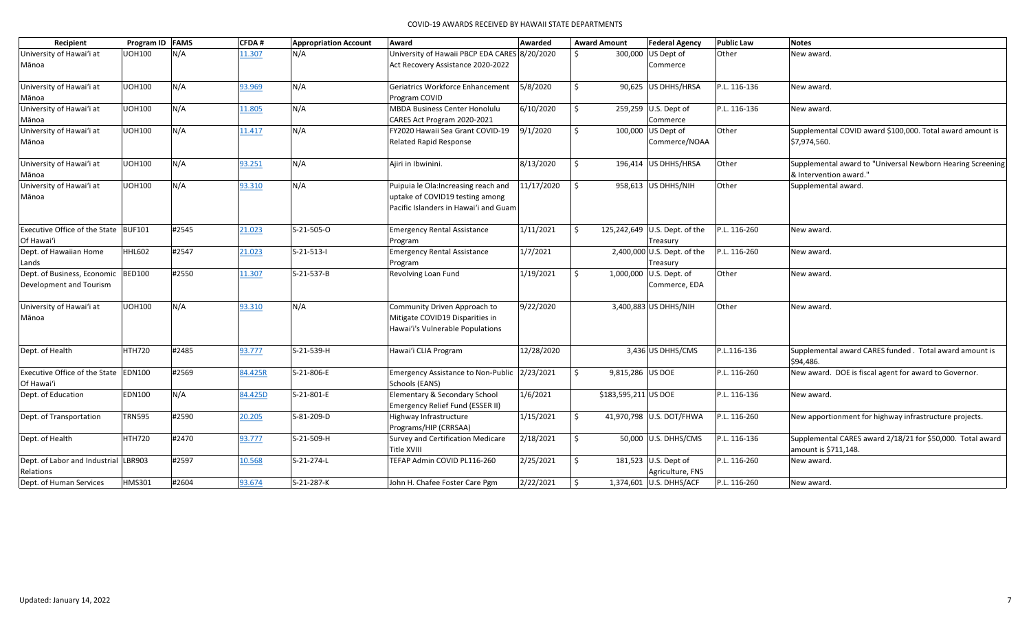| Recipient                                   | Program ID FAMS |       | CFDA#   | <b>Appropriation Account</b> | Award                                           | Awarded    |                     | <b>Award Amount</b>  | <b>Federal Agency</b>         | <b>Public Law</b> | <b>Notes</b>                                               |
|---------------------------------------------|-----------------|-------|---------|------------------------------|-------------------------------------------------|------------|---------------------|----------------------|-------------------------------|-------------------|------------------------------------------------------------|
| University of Hawai'i at                    | <b>UOH100</b>   | N/A   | 11.307  | N/A                          | University of Hawaii PBCP EDA CARES 8/20/2020   |            | Ŝ.                  | 300,000              | US Dept of                    | Other             | New award.                                                 |
| Mānoa                                       |                 |       |         |                              | Act Recovery Assistance 2020-2022               |            |                     |                      | Commerce                      |                   |                                                            |
| University of Hawai'i at                    | <b>UOH100</b>   | N/A   | 93.969  | N/A                          | <b>Geriatrics Workforce Enhancement</b>         | 5/8/2020   | \$                  |                      | 90,625 US DHHS/HRSA           | P.L. 116-136      | New award.                                                 |
| Mānoa                                       |                 |       |         |                              | Program COVID                                   |            |                     |                      |                               |                   |                                                            |
| University of Hawai'i at                    | <b>UOH100</b>   | N/A   | 11.805  | N/A                          | MBDA Business Center Honolulu                   | 6/10/2020  | $\ddot{\mathsf{S}}$ |                      | 259,259 U.S. Dept of          | P.L. 116-136      | New award.                                                 |
| Mānoa                                       |                 |       |         |                              | CARES Act Program 2020-2021                     |            |                     |                      | Commerce                      |                   |                                                            |
| University of Hawai'i at                    | <b>UOH100</b>   | N/A   | 11.417  | N/A                          | FY2020 Hawaii Sea Grant COVID-19                | 9/1/2020   | $\ddot{\mathsf{S}}$ | 100,000              | US Dept of                    | Other             | Supplemental COVID award \$100,000. Total award amount is  |
| Mānoa                                       |                 |       |         |                              | <b>Related Rapid Response</b>                   |            |                     |                      | Commerce/NOAA                 |                   | \$7,974,560.                                               |
| University of Hawai'i at                    | <b>UOH100</b>   | N/A   | 93.251  | N/A                          | Ajiri in Ibwinini.                              | 8/13/2020  | S.                  |                      | 196,414 US DHHS/HRSA          | Other             | Supplemental award to "Universal Newborn Hearing Screening |
| Mānoa                                       |                 |       |         |                              |                                                 |            |                     |                      |                               |                   | & Intervention award."                                     |
| University of Hawai'i at                    | <b>UOH100</b>   | N/A   | 93.310  | N/A                          | Puipuia le Ola: Increasing reach and            | 11/17/2020 | S.                  |                      | 958,613 US DHHS/NIH           | Other             | Supplemental award.                                        |
| Mānoa                                       |                 |       |         |                              | uptake of COVID19 testing among                 |            |                     |                      |                               |                   |                                                            |
|                                             |                 |       |         |                              | Pacific Islanders in Hawai'i and Guam           |            |                     |                      |                               |                   |                                                            |
| <b>Executive Office of the State BUF101</b> |                 | #2545 | 21.023  | S-21-505-O                   | <b>Emergency Rental Assistance</b>              | 1/11/2021  | Ŝ.                  |                      | 125,242,649 U.S. Dept. of the | P.L. 116-260      | New award.                                                 |
| Of Hawai'i                                  |                 |       |         |                              | Program                                         |            |                     |                      | Treasury                      |                   |                                                            |
| Dept. of Hawaiian Home                      | <b>HHL602</b>   | #2547 | 21.023  | S-21-513-I                   | <b>Emergency Rental Assistance</b>              | 1/7/2021   |                     |                      | 2,400,000 U.S. Dept. of the   | P.L. 116-260      | New award.                                                 |
| Lands                                       |                 |       |         |                              | Program                                         |            |                     |                      | Treasury                      |                   |                                                            |
| Dept. of Business, Economic BED100          |                 | #2550 | 11.307  | S-21-537-B                   | Revolving Loan Fund                             | 1/19/2021  | S.                  |                      | 1,000,000 $ U.S.$ Dept. of    | Other             | New award.                                                 |
| Development and Tourism                     |                 |       |         |                              |                                                 |            |                     |                      | Commerce, EDA                 |                   |                                                            |
| University of Hawai'i at                    | <b>UOH100</b>   | N/A   | 93.310  | N/A                          | Community Driven Approach to                    | 9/22/2020  |                     |                      | 3,400,883 US DHHS/NIH         | Other             | New award.                                                 |
| Mānoa                                       |                 |       |         |                              | Mitigate COVID19 Disparities in                 |            |                     |                      |                               |                   |                                                            |
|                                             |                 |       |         |                              | Hawai'i's Vulnerable Populations                |            |                     |                      |                               |                   |                                                            |
| Dept. of Health                             | <b>HTH720</b>   | #2485 | 93.777  | S-21-539-H                   | Hawai'i CLIA Program                            | 12/28/2020 |                     |                      | 3,436 US DHHS/CMS             | P.L.116-136       | Supplemental award CARES funded. Total award amount is     |
|                                             |                 |       |         |                              |                                                 |            |                     |                      |                               |                   | \$94,486.                                                  |
| Executive Office of the State EDN100        |                 | #2569 | 84.425R | S-21-806-E                   | Emergency Assistance to Non-Public 2/23/2021    |            | \$                  | 9,815,286 US DOE     |                               | P.L. 116-260      | New award. DOE is fiscal agent for award to Governor.      |
| Of Hawai'i                                  |                 |       |         |                              | Schools (EANS)                                  |            |                     |                      |                               |                   |                                                            |
| Dept. of Education                          | <b>EDN100</b>   | N/A   | 84.425D | S-21-801-E                   | Elementary & Secondary School                   | 1/6/2021   |                     | \$183,595,211 US DOE |                               | P.L. 116-136      | New award.                                                 |
|                                             |                 |       |         |                              | Emergency Relief Fund (ESSER II)                |            |                     |                      |                               |                   |                                                            |
| Dept. of Transportation                     | <b>TRN595</b>   | #2590 | 20.205  | S-81-209-D                   | Highway Infrastructure<br>Programs/HIP (CRRSAA) | 1/15/2021  | $\dot{\mathsf{S}}$  |                      | 41,970,798 U.S. DOT/FHWA      | P.L. 116-260      | New apportionment for highway infrastructure projects.     |
| Dept. of Health                             | <b>HTH720</b>   | #2470 | 93.777  | S-21-509-H                   | <b>Survey and Certification Medicare</b>        | 2/18/2021  | \$                  |                      | 50,000 U.S. DHHS/CMS          | P.L. 116-136      | Supplemental CARES award 2/18/21 for \$50,000. Total award |
|                                             |                 |       |         |                              | Title XVIII                                     |            |                     |                      |                               |                   | amount is \$711,148.                                       |
| Dept. of Labor and Industrial LBR903        |                 | #2597 | 10.568  | S-21-274-L                   | TEFAP Admin COVID PL116-260                     | 2/25/2021  | \$                  |                      | 181,523 U.S. Dept of          | P.L. 116-260      | New award.                                                 |
| Relations                                   |                 |       |         |                              |                                                 |            |                     |                      | Agriculture, FNS              |                   |                                                            |
| Dept. of Human Services                     | <b>HMS301</b>   | #2604 | 93.674  | S-21-287-K                   | John H. Chafee Foster Care Pgm                  | 2/22/2021  | \$                  |                      | 1,374,601 U.S. DHHS/ACF       | P.L. 116-260      | New award.                                                 |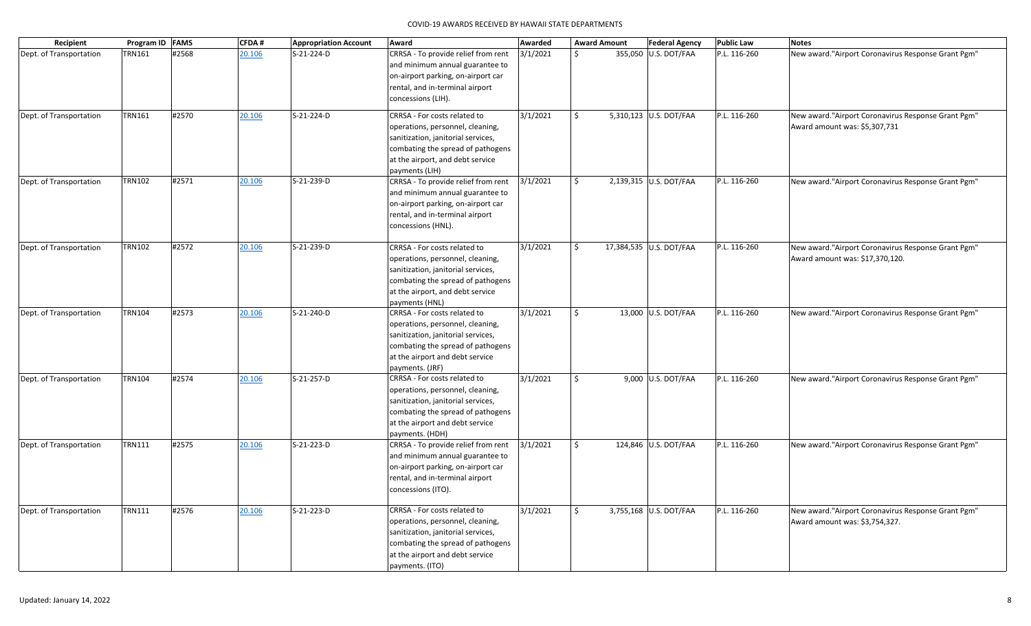| Recipient               | Program ID   FAMS |       | CFDA#  | <b>Appropriation Account</b> | Award                                                                                                                                                                                             | Awarded  |              | <b>Award Amount</b> | <b>Federal Agency</b>   | <b>Public Law</b> | <b>Notes</b>                                                                          |
|-------------------------|-------------------|-------|--------|------------------------------|---------------------------------------------------------------------------------------------------------------------------------------------------------------------------------------------------|----------|--------------|---------------------|-------------------------|-------------------|---------------------------------------------------------------------------------------|
| Dept. of Transportation | <b>TRN161</b>     | #2568 | 20.106 | S-21-224-D                   | CRRSA - To provide relief from rent<br>and minimum annual guarantee to<br>on-airport parking, on-airport car<br>rental, and in-terminal airport<br>concessions (LIH).                             | 3/1/2021 | \$           |                     | 355,050 U.S. DOT/FAA    | P.L. 116-260      | New award."Airport Coronavirus Response Grant Pgm"                                    |
| Dept. of Transportation | <b>TRN161</b>     | #2570 | 20.106 | S-21-224-D                   | CRRSA - For costs related to<br>operations, personnel, cleaning,<br>sanitization, janitorial services,<br>combating the spread of pathogens<br>at the airport, and debt service<br>payments (LIH) | 3/1/2021 | Ŝ.           |                     | 5,310,123 U.S. DOT/FAA  | P.L. 116-260      | New award."Airport Coronavirus Response Grant Pgm"<br>Award amount was: \$5,307,731   |
| Dept. of Transportation | <b>TRN102</b>     | #2571 | 20.106 | S-21-239-D                   | CRRSA - To provide relief from rent<br>and minimum annual guarantee to<br>on-airport parking, on-airport car<br>rental, and in-terminal airport<br>concessions (HNL).                             | 3/1/2021 | $\mathsf{S}$ |                     | 2,139,315 U.S. DOT/FAA  | P.L. 116-260      | New award."Airport Coronavirus Response Grant Pgm"                                    |
| Dept. of Transportation | <b>TRN102</b>     | #2572 | 20.106 | S-21-239-D                   | CRRSA - For costs related to<br>operations, personnel, cleaning,<br>sanitization, janitorial services,<br>combating the spread of pathogens<br>at the airport, and debt service<br>payments (HNL) | 3/1/2021 | Ŝ.           |                     | 17,384,535 U.S. DOT/FAA | P.L. 116-260      | New award."Airport Coronavirus Response Grant Pgm"<br>Award amount was: \$17,370,120. |
| Dept. of Transportation | <b>TRN104</b>     | #2573 | 20.106 | S-21-240-D                   | CRRSA - For costs related to<br>operations, personnel, cleaning,<br>sanitization, janitorial services,<br>combating the spread of pathogens<br>at the airport and debt service<br>payments. (JRF) | 3/1/2021 | $\mathsf{S}$ |                     | 13,000 U.S. DOT/FAA     | P.L. 116-260      | New award."Airport Coronavirus Response Grant Pgm"                                    |
| Dept. of Transportation | <b>TRN104</b>     | #2574 | 20.106 | S-21-257-D                   | CRRSA - For costs related to<br>operations, personnel, cleaning,<br>sanitization, janitorial services,<br>combating the spread of pathogens<br>at the airport and debt service<br>payments. (HDH) | 3/1/2021 | Ŝ.           |                     | 9,000 U.S. DOT/FAA      | P.L. 116-260      | New award."Airport Coronavirus Response Grant Pgm"                                    |
| Dept. of Transportation | <b>TRN111</b>     | #2575 | 20.106 | S-21-223-D                   | CRRSA - To provide relief from rent<br>and minimum annual guarantee to<br>on-airport parking, on-airport car<br>rental, and in-terminal airport<br>concessions (ITO).                             | 3/1/2021 | $\mathsf{S}$ |                     | 124,846 U.S. DOT/FAA    | P.L. 116-260      | New award."Airport Coronavirus Response Grant Pgm"                                    |
| Dept. of Transportation | <b>TRN111</b>     | #2576 | 20.106 | S-21-223-D                   | CRRSA - For costs related to<br>operations, personnel, cleaning,<br>sanitization, janitorial services,<br>combating the spread of pathogens<br>at the airport and debt service<br>payments. (ITO) | 3/1/2021 | $\mathsf{S}$ |                     | 3,755,168 U.S. DOT/FAA  | P.L. 116-260      | New award."Airport Coronavirus Response Grant Pgm"<br>Award amount was: \$3,754,327.  |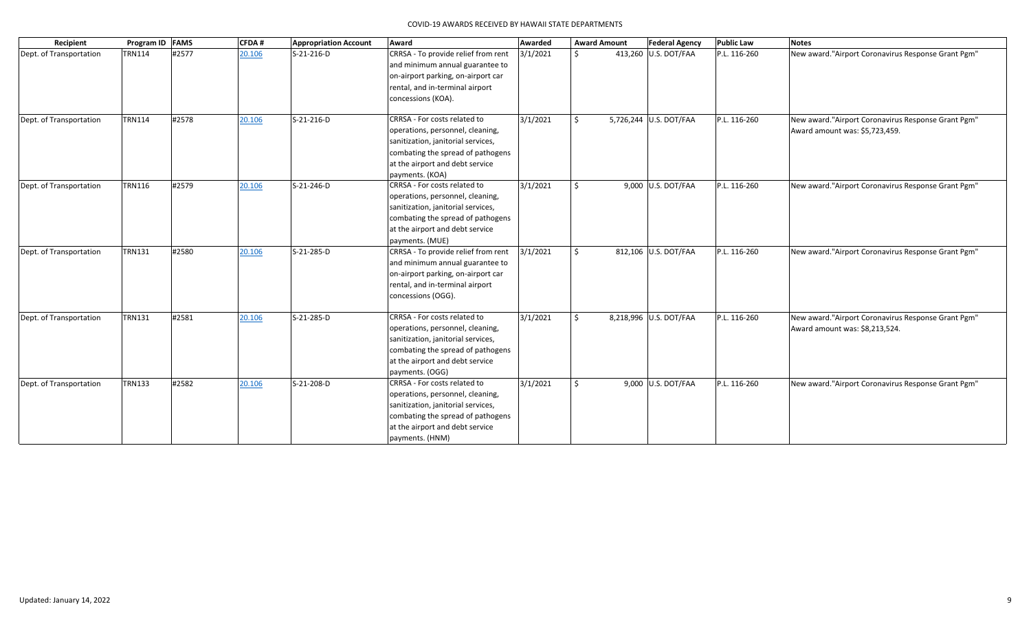| Recipient               | Program ID FAMS<br><b>CFDA#</b> |       | <b>Appropriation Account</b><br>Award |            | Awarded<br><b>Award Amount</b>                                                                                                                                                                    |          |               | <b>Public Law</b><br><b>Federal Agency</b> | <b>Notes</b>           |              |                                                                                      |
|-------------------------|---------------------------------|-------|---------------------------------------|------------|---------------------------------------------------------------------------------------------------------------------------------------------------------------------------------------------------|----------|---------------|--------------------------------------------|------------------------|--------------|--------------------------------------------------------------------------------------|
| Dept. of Transportation | <b>TRN114</b>                   | #2577 | 20.106                                | S-21-216-D | CRRSA - To provide relief from rent<br>and minimum annual guarantee to<br>on-airport parking, on-airport car<br>rental, and in-terminal airport<br>concessions (KOA).                             | 3/1/2021 | $\mathcal{S}$ |                                            | 413,260 U.S. DOT/FAA   | P.L. 116-260 | New award."Airport Coronavirus Response Grant Pgm"                                   |
| Dept. of Transportation | <b>TRN114</b>                   | #2578 | 20.106                                | S-21-216-D | CRRSA - For costs related to<br>operations, personnel, cleaning,<br>sanitization, janitorial services,<br>combating the spread of pathogens<br>at the airport and debt service<br>payments. (KOA) | 3/1/2021 | Ŝ.            |                                            | 5,726,244 U.S. DOT/FAA | P.L. 116-260 | New award."Airport Coronavirus Response Grant Pgm"<br>Award amount was: \$5,723,459. |
| Dept. of Transportation | <b>TRN116</b>                   | #2579 | 20.106                                | S-21-246-D | CRRSA - For costs related to<br>operations, personnel, cleaning,<br>sanitization, janitorial services,<br>combating the spread of pathogens<br>at the airport and debt service<br>payments. (MUE) | 3/1/2021 | Ŝ.            |                                            | 9,000 U.S. DOT/FAA     | P.L. 116-260 | New award."Airport Coronavirus Response Grant Pgm"                                   |
| Dept. of Transportation | <b>TRN131</b>                   | #2580 | 20.106                                | S-21-285-D | CRRSA - To provide relief from rent<br>and minimum annual guarantee to<br>on-airport parking, on-airport car<br>rental, and in-terminal airport<br>concessions (OGG).                             | 3/1/2021 | S.            |                                            | 812,106 U.S. DOT/FAA   | P.L. 116-260 | New award."Airport Coronavirus Response Grant Pgm"                                   |
| Dept. of Transportation | <b>TRN131</b>                   | #2581 | 20.106                                | S-21-285-D | CRRSA - For costs related to<br>operations, personnel, cleaning,<br>sanitization, janitorial services,<br>combating the spread of pathogens<br>at the airport and debt service<br>payments. (OGG) | 3/1/2021 | $\mathsf{S}$  |                                            | 8,218,996 U.S. DOT/FAA | P.L. 116-260 | New award."Airport Coronavirus Response Grant Pgm"<br>Award amount was: \$8,213,524. |
| Dept. of Transportation | <b>TRN133</b>                   | #2582 | 20.106                                | S-21-208-D | CRRSA - For costs related to<br>operations, personnel, cleaning,<br>sanitization, janitorial services,<br>combating the spread of pathogens<br>at the airport and debt service<br>payments. (HNM) | 3/1/2021 | Ŝ.            |                                            | 9,000 U.S. DOT/FAA     | P.L. 116-260 | New award."Airport Coronavirus Response Grant Pgm"                                   |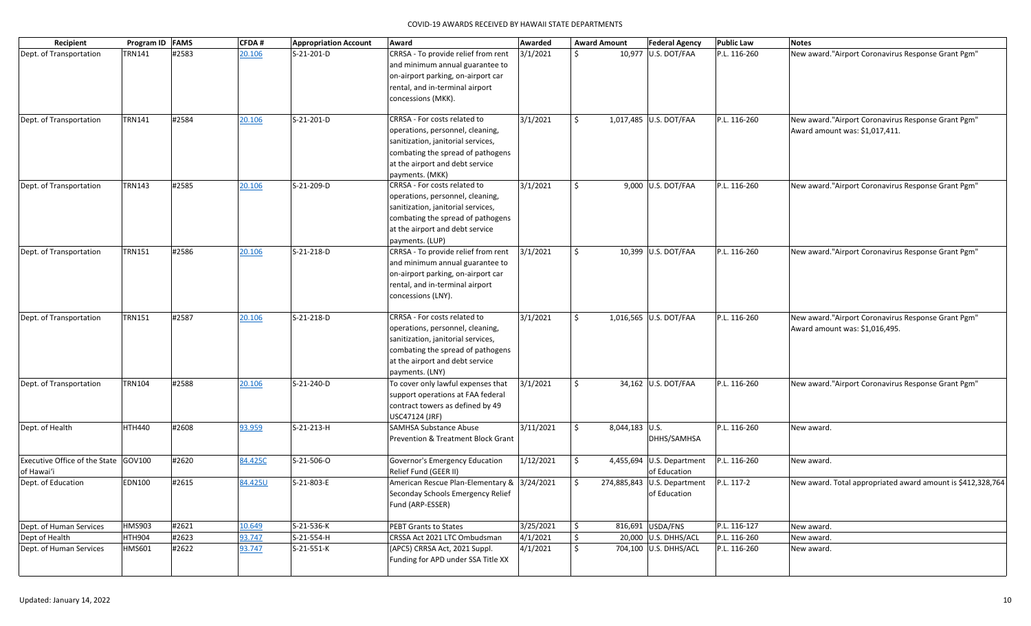| Recipient                                          | Program ID FAMS |       | <b>CFDA#</b> | <b>Appropriation Account</b> | Award                                                                                                                                                                                             | Awarded   |               | <b>Award Amount</b> | <b>Federal Agency</b>                         | <b>Public Law</b> | <b>Notes</b>                                                                          |
|----------------------------------------------------|-----------------|-------|--------------|------------------------------|---------------------------------------------------------------------------------------------------------------------------------------------------------------------------------------------------|-----------|---------------|---------------------|-----------------------------------------------|-------------------|---------------------------------------------------------------------------------------|
| Dept. of Transportation                            | TRN141          | #2583 | 20.106       | S-21-201-D                   | CRRSA - To provide relief from rent<br>and minimum annual guarantee to<br>on-airport parking, on-airport car<br>rental, and in-terminal airport<br>concessions (MKK).                             | 3/1/2021  | Ŝ.            |                     | 10,977 U.S. DOT/FAA                           | P.L. 116-260      | New award. "Airport Coronavirus Response Grant Pgm"                                   |
| Dept. of Transportation                            | <b>TRN141</b>   | #2584 | 20.106       | S-21-201-D                   | CRRSA - For costs related to<br>operations, personnel, cleaning,<br>sanitization, janitorial services,<br>combating the spread of pathogens<br>at the airport and debt service<br>payments. (MKK) | 3/1/2021  | Ŝ.            |                     | 1,017,485 U.S. DOT/FAA                        | P.L. 116-260      | New award."Airport Coronavirus Response Grant Pgm"<br>Award amount was: \$1,017,411.  |
| Dept. of Transportation                            | <b>TRN143</b>   | #2585 | 20.106       | S-21-209-D                   | CRRSA - For costs related to<br>operations, personnel, cleaning,<br>sanitization, janitorial services,<br>combating the spread of pathogens<br>at the airport and debt service<br>payments. (LUP) | 3/1/2021  | Ŝ.            |                     | 9,000 U.S. DOT/FAA                            | P.L. 116-260      | New award."Airport Coronavirus Response Grant Pgm"                                    |
| Dept. of Transportation                            | <b>TRN151</b>   | #2586 | 20.106       | S-21-218-D                   | CRRSA - To provide relief from rent<br>and minimum annual guarantee to<br>on-airport parking, on-airport car<br>rental, and in-terminal airport<br>concessions (LNY).                             | 3/1/2021  | \$            |                     | 10,399 U.S. DOT/FAA                           | P.L. 116-260      | New award."Airport Coronavirus Response Grant Pgm"                                    |
| Dept. of Transportation                            | <b>TRN151</b>   | #2587 | 20.106       | S-21-218-D                   | CRRSA - For costs related to<br>operations, personnel, cleaning,<br>sanitization, janitorial services,<br>combating the spread of pathogens<br>at the airport and debt service<br>payments. (LNY) | 3/1/2021  | Ŝ.            |                     | 1,016,565 U.S. DOT/FAA                        | P.L. 116-260      | New award. "Airport Coronavirus Response Grant Pgm"<br>Award amount was: \$1,016,495. |
| Dept. of Transportation                            | <b>TRN104</b>   | #2588 | 20.106       | S-21-240-D                   | To cover only lawful expenses that<br>support operations at FAA federal<br>contract towers as defined by 49<br>USC47124 (JRF)                                                                     | 3/1/2021  | Ŝ.            |                     | 34,162 U.S. DOT/FAA                           | P.L. 116-260      | New award."Airport Coronavirus Response Grant Pgm"                                    |
| Dept. of Health                                    | HTH440          | #2608 | 93.959       | S-21-213-H                   | <b>SAMHSA Substance Abuse</b><br><b>Prevention &amp; Treatment Block Grant</b>                                                                                                                    | 3/11/2021 | S.            | 8,044,183 U.S.      | DHHS/SAMHSA                                   | P.L. 116-260      | New award.                                                                            |
| Executive Office of the State GOV100<br>of Hawai'i |                 | #2620 | 84.425C      | S-21-506-O                   | Governor's Emergency Education<br>Relief Fund (GEER II)                                                                                                                                           | 1/12/2021 | \$            |                     | 4,455,694   U.S. Department<br>of Education   | P.L. 116-260      | New award.                                                                            |
| Dept. of Education                                 | <b>EDN100</b>   | #2615 | 84.425U      | S-21-803-E                   | American Rescue Plan-Elementary & 3/24/2021<br>Seconday Schools Emergency Relief<br>Fund (ARP-ESSER)                                                                                              |           | $\mathsf{S}$  |                     | 274,885,843   U.S. Department<br>of Education | P.L. 117-2        | New award. Total appropriated award amount is \$412,328,764                           |
| Dept. of Human Services                            | <b>HMS903</b>   | #2621 | 10.649       | S-21-536-K                   | <b>PEBT Grants to States</b>                                                                                                                                                                      | 3/25/2021 | $\frac{1}{2}$ |                     | 816,691 USDA/FNS                              | P.L. 116-127      | New award.                                                                            |
| Dept of Health                                     | <b>HTH904</b>   | #2623 | 93.747       | S-21-554-H                   | CRSSA Act 2021 LTC Ombudsman                                                                                                                                                                      | 4/1/2021  | \$            |                     | 20,000 U.S. DHHS/ACL                          | P.L. 116-260      | New award.                                                                            |
| Dept. of Human Services                            | HMS601          | #2622 | 93.747       | S-21-551-K                   | (APC5) CRRSA Act, 2021 Suppl.<br>Funding for APD under SSA Title XX                                                                                                                               | 4/1/2021  | \$            |                     | 704,100 U.S. DHHS/ACL                         | P.L. 116-260      | New award.                                                                            |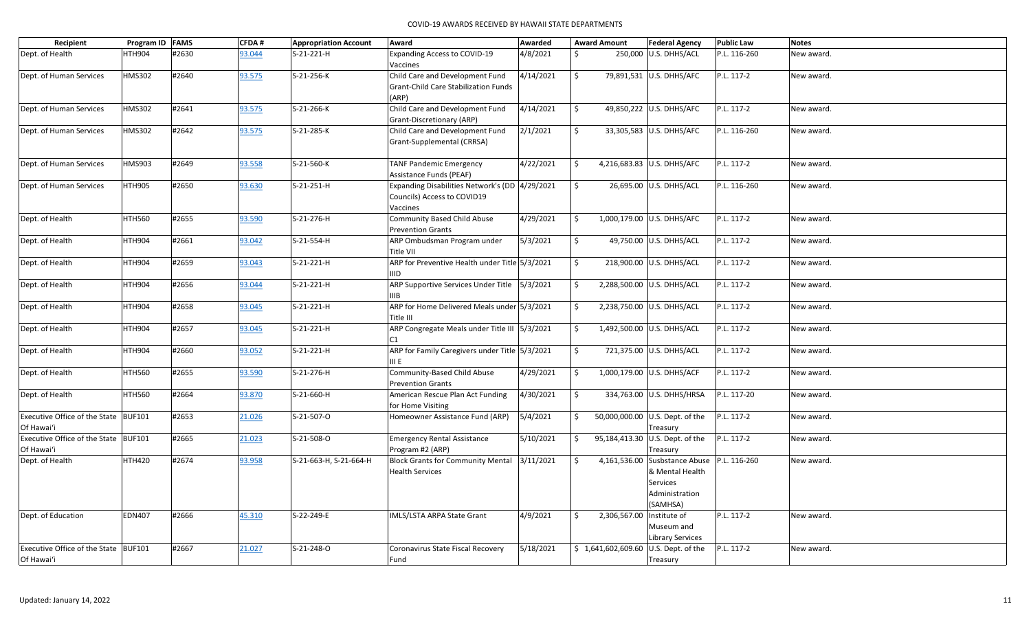| Recipient                                          | Program ID FAMS |       | <b>CFDA#</b> | <b>Appropriation Account</b> | Award                                                                                     | Awarded   |                     | <b>Award Amount</b> | <b>Federal Agency</b>                                                                                   | <b>Public Law</b> | <b>Notes</b> |
|----------------------------------------------------|-----------------|-------|--------------|------------------------------|-------------------------------------------------------------------------------------------|-----------|---------------------|---------------------|---------------------------------------------------------------------------------------------------------|-------------------|--------------|
| Dept. of Health                                    | HTH904          | #2630 | 93.044       | S-21-221-H                   | <b>Expanding Access to COVID-19</b><br>Vaccines                                           | 4/8/2021  | Ŝ.                  |                     | 250,000 U.S. DHHS/ACL                                                                                   | P.L. 116-260      | New award.   |
| Dept. of Human Services                            | <b>HMS302</b>   | #2640 | 93.575       | S-21-256-K                   | Child Care and Development Fund<br><b>Grant-Child Care Stabilization Funds</b><br>(ARP)   | 4/14/2021 | \$                  |                     | 79,891,531 U.S. DHHS/AFC                                                                                | P.L. 117-2        | New award.   |
| Dept. of Human Services                            | <b>HMS302</b>   | #2641 | 93.575       | S-21-266-K                   | Child Care and Development Fund<br>Grant-Discretionary (ARP)                              | 4/14/2021 | \$                  |                     | 49,850,222 U.S. DHHS/AFC                                                                                | P.L. 117-2        | New award.   |
| Dept. of Human Services                            | HMS302          | #2642 | 93.575       | S-21-285-K                   | Child Care and Development Fund<br>Grant-Supplemental (CRRSA)                             | 2/1/2021  | $\ddot{\mathsf{S}}$ |                     | 33,305,583 U.S. DHHS/AFC                                                                                | P.L. 116-260      | New award.   |
| Dept. of Human Services                            | <b>HMS903</b>   | #2649 | 93.558       | S-21-560-K                   | <b>TANF Pandemic Emergency</b><br>Assistance Funds (PEAF)                                 | 4/22/2021 | \$                  |                     | 4,216,683.83 U.S. DHHS/AFC                                                                              | P.L. 117-2        | New award.   |
| Dept. of Human Services                            | <b>HTH905</b>   | #2650 | 93.630       | $S-21-251-H$                 | Expanding Disabilities Network's (DD 4/29/2021<br>Councils) Access to COVID19<br>Vaccines |           | \$                  |                     | 26,695.00 U.S. DHHS/ACL                                                                                 | P.L. 116-260      | New award.   |
| Dept. of Health                                    | <b>HTH560</b>   | #2655 | 93.590       | S-21-276-H                   | Community Based Child Abuse<br><b>Prevention Grants</b>                                   | 4/29/2021 | \$                  |                     | 1,000,179.00 U.S. DHHS/AFC                                                                              | P.L. 117-2        | New award.   |
| Dept. of Health                                    | <b>HTH904</b>   | #2661 | 93.042       | S-21-554-H                   | ARP Ombudsman Program under<br>Title VII                                                  | 5/3/2021  | \$                  |                     | 49,750.00 U.S. DHHS/ACL                                                                                 | P.L. 117-2        | New award.   |
| Dept. of Health                                    | <b>HTH904</b>   | #2659 | 93.043       | S-21-221-H                   | ARP for Preventive Health under Title 5/3/2021<br><b>IIID</b>                             |           | Ŝ.                  |                     | 218,900.00 U.S. DHHS/ACL                                                                                | P.L. 117-2        | New award.   |
| Dept. of Health                                    | <b>HTH904</b>   | #2656 | 93.044       | S-21-221-H                   | ARP Supportive Services Under Title   5/3/2021<br>IIIB.                                   |           | \$                  |                     | 2,288,500.00 U.S. DHHS/ACL                                                                              | P.L. 117-2        | New award.   |
| Dept. of Health                                    | <b>HTH904</b>   | #2658 | 93.045       | S-21-221-H                   | ARP for Home Delivered Meals under 5/3/2021<br>Title III                                  |           | \$                  |                     | 2,238,750.00 U.S. DHHS/ACL                                                                              | P.L. 117-2        | New award.   |
| Dept. of Health                                    | <b>HTH904</b>   | #2657 | 93.045       | S-21-221-H                   | ARP Congregate Meals under Title III 5/3/2021<br>C1                                       |           | \$                  |                     | 1,492,500.00 U.S. DHHS/ACL                                                                              | P.L. 117-2        | New award.   |
| Dept. of Health                                    | <b>HTH904</b>   | #2660 | 93.052       | S-21-221-H                   | ARP for Family Caregivers under Title 5/3/2021<br>III E                                   |           | $\ddot{\mathsf{S}}$ |                     | 721,375.00 U.S. DHHS/ACL                                                                                | P.L. 117-2        | New award.   |
| Dept. of Health                                    | <b>HTH560</b>   | #2655 | 93.590       | S-21-276-H                   | Community-Based Child Abuse<br><b>Prevention Grants</b>                                   | 4/29/2021 | \$                  |                     | 1,000,179.00 U.S. DHHS/ACF                                                                              | P.L. 117-2        | New award.   |
| Dept. of Health                                    | <b>HTH560</b>   | #2664 | 93.870       | S-21-660-H                   | American Rescue Plan Act Funding<br>for Home Visiting                                     | 4/30/2021 | \$                  |                     | 334,763.00 U.S. DHHS/HRSA                                                                               | P.L. 117-20       | New award.   |
| Executive Office of the State BUF101<br>Of Hawai'i |                 | #2653 | 21.026       | S-21-507-O                   | Homeowner Assistance Fund (ARP)                                                           | 5/4/2021  | \$                  |                     | 50,000,000.00 U.S. Dept. of the<br>Treasury                                                             | P.L. 117-2        | New award.   |
| Executive Office of the State BUF101<br>Of Hawai'i |                 | #2665 | 21.023       | S-21-508-O                   | <b>Emergency Rental Assistance</b><br>Program #2 (ARP)                                    | 5/10/2021 | \$                  |                     | 95,184,413.30 U.S. Dept. of the<br>Treasury                                                             | P.L. 117-2        | New award.   |
| Dept. of Health                                    | <b>HTH420</b>   | #2674 | 93.958       | S-21-663-H, S-21-664-H       | Block Grants for Community Mental 3/11/2021<br><b>Health Services</b>                     |           | \$                  |                     | 4,161,536.00 Susbstance Abuse P.L. 116-260<br>& Mental Health<br>Services<br>Administration<br>(SAMHSA) |                   | New award.   |
| Dept. of Education                                 | <b>EDN407</b>   | #2666 | 45.310       | S-22-249-E                   | IMLS/LSTA ARPA State Grant                                                                | 4/9/2021  | \$                  | 2,306,567.00        | Institute of<br>Museum and<br><b>Library Services</b>                                                   | P.L. 117-2        | New award.   |
| Executive Office of the State BUF101<br>Of Hawai'i |                 | #2667 | 21.027       | $S-21-248-0$                 | Coronavirus State Fiscal Recovery<br>Fund                                                 | 5/18/2021 |                     |                     | $$1,641,602,609.60$ U.S. Dept. of the<br>Treasury                                                       | P.L. 117-2        | New award.   |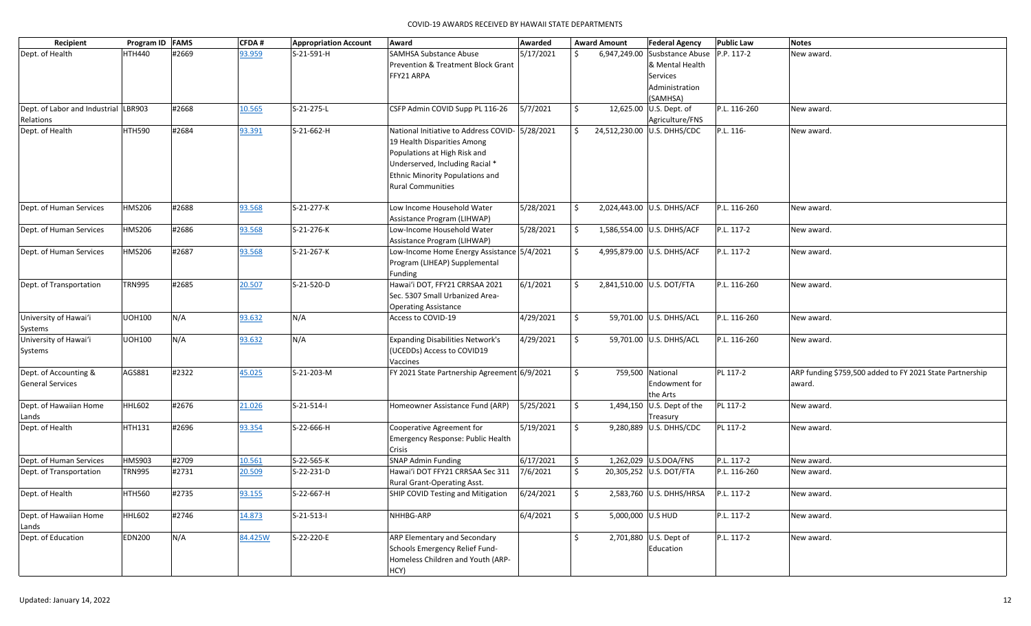| Recipient                            | Program ID FAMS |       | <b>CFDA#</b> | <b>Appropriation Account</b> | Award                                                                 | Awarded   |              | <b>Award Amount</b> | <b>Federal Agency</b>                    | <b>Public Law</b> | <b>Notes</b>                                             |
|--------------------------------------|-----------------|-------|--------------|------------------------------|-----------------------------------------------------------------------|-----------|--------------|---------------------|------------------------------------------|-------------------|----------------------------------------------------------|
| Dept. of Health                      | <b>HTH440</b>   | #2669 | 93.959       | S-21-591-H                   | <b>SAMHSA Substance Abuse</b>                                         | 5/17/2021 |              |                     | 6,947,249.00 Susbstance Abuse P.P. 117-2 |                   | New award.                                               |
|                                      |                 |       |              |                              | <b>Prevention &amp; Treatment Block Grant</b>                         |           |              |                     | & Mental Health                          |                   |                                                          |
|                                      |                 |       |              |                              | FFY21 ARPA                                                            |           |              |                     | Services                                 |                   |                                                          |
|                                      |                 |       |              |                              |                                                                       |           |              |                     | Administration                           |                   |                                                          |
|                                      |                 |       |              |                              |                                                                       |           |              |                     | (SAMHSA)                                 |                   |                                                          |
| Dept. of Labor and Industrial LBR903 |                 | #2668 | 10.565       | S-21-275-L                   | CSFP Admin COVID Supp PL 116-26                                       | 5/7/2021  | Ŝ.           |                     | 12,625.00 U.S. Dept. of                  | P.L. 116-260      | New award.                                               |
| Relations                            |                 |       |              |                              |                                                                       |           |              |                     | Agriculture/FNS                          |                   |                                                          |
| Dept. of Health                      | <b>HTH590</b>   | #2684 | 93.391       | S-21-662-H                   | National Initiative to Address COVID- 5/28/2021                       |           | \$           |                     | 24,512,230.00 U.S. DHHS/CDC              | P.L. 116-         | New award.                                               |
|                                      |                 |       |              |                              | 19 Health Disparities Among                                           |           |              |                     |                                          |                   |                                                          |
|                                      |                 |       |              |                              | Populations at High Risk and                                          |           |              |                     |                                          |                   |                                                          |
|                                      |                 |       |              |                              | Underserved, Including Racial *                                       |           |              |                     |                                          |                   |                                                          |
|                                      |                 |       |              |                              | <b>Ethnic Minority Populations and</b>                                |           |              |                     |                                          |                   |                                                          |
|                                      |                 |       |              |                              | <b>Rural Communities</b>                                              |           |              |                     |                                          |                   |                                                          |
| Dept. of Human Services              | <b>HMS206</b>   | #2688 | 93.568       | S-21-277-K                   | Low Income Household Water                                            | 5/28/2021 | S.           |                     | 2,024,443.00 U.S. DHHS/ACF               | P.L. 116-260      | New award.                                               |
|                                      |                 |       |              |                              | Assistance Program (LIHWAP)                                           |           |              |                     |                                          |                   |                                                          |
| Dept. of Human Services              | <b>HMS206</b>   | #2686 | 93.568       | S-21-276-K                   | Low-Income Household Water                                            | 5/28/2021 | \$           |                     | 1,586,554.00 U.S. DHHS/ACF               | P.L. 117-2        | New award.                                               |
|                                      |                 |       |              |                              | Assistance Program (LIHWAP)                                           |           |              |                     |                                          |                   |                                                          |
| Dept. of Human Services              | <b>HMS206</b>   | #2687 | 93.568       | S-21-267-K                   | Low-Income Home Energy Assistance 5/4/2021                            |           | \$           |                     | 4,995,879.00 U.S. DHHS/ACF               | P.L. 117-2        | New award.                                               |
|                                      |                 |       |              |                              | Program (LIHEAP) Supplemental                                         |           |              |                     |                                          |                   |                                                          |
|                                      |                 |       |              |                              | Funding                                                               |           |              |                     |                                          |                   |                                                          |
| Dept. of Transportation              | <b>TRN995</b>   | #2685 | 20.507       | S-21-520-D                   | Hawai'i DOT, FFY21 CRRSAA 2021                                        | 6/1/2021  | \$           |                     | 2,841,510.00 U.S. DOT/FTA                | P.L. 116-260      | New award.                                               |
|                                      |                 |       |              |                              | Sec. 5307 Small Urbanized Area-                                       |           |              |                     |                                          |                   |                                                          |
|                                      |                 |       |              |                              | <b>Operating Assistance</b>                                           |           |              |                     |                                          |                   |                                                          |
| University of Hawai'i                | <b>UOH100</b>   | N/A   | 93.632       | N/A                          | Access to COVID-19                                                    | 4/29/2021 | $\mathsf{S}$ |                     | 59,701.00 U.S. DHHS/ACL                  | P.L. 116-260      | New award.                                               |
| Systems                              |                 |       |              |                              |                                                                       |           |              |                     |                                          |                   |                                                          |
| University of Hawai'i                | <b>UOH100</b>   | N/A   | 93.632       | N/A                          | <b>Expanding Disabilities Network's</b>                               | 4/29/2021 | \$           |                     | 59,701.00 U.S. DHHS/ACL                  | P.L. 116-260      | New award.                                               |
| Systems                              |                 |       |              |                              | (UCEDDs) Access to COVID19                                            |           |              |                     |                                          |                   |                                                          |
|                                      |                 |       |              |                              | Vaccines                                                              |           |              |                     |                                          |                   |                                                          |
| Dept. of Accounting &                | AGS881          | #2322 | 45.025       | S-21-203-M                   | FY 2021 State Partnership Agreement 6/9/2021                          |           | \$           |                     | 759,500 National                         | PL 117-2          | ARP funding \$759,500 added to FY 2021 State Partnership |
| <b>General Services</b>              |                 |       |              |                              |                                                                       |           |              |                     | Endowment for                            |                   | award.                                                   |
|                                      |                 |       |              |                              |                                                                       |           |              |                     | the Arts                                 |                   |                                                          |
| Dept. of Hawaiian Home               | <b>HHL602</b>   | #2676 | 21.026       | $S-21-514-1$                 | Homeowner Assistance Fund (ARP)                                       | 5/25/2021 | <b>S</b>     |                     | 1,494,150 $ U.S.$ Dept of the            | PL 117-2          | New award.                                               |
| Lands                                |                 |       |              |                              |                                                                       |           |              |                     | Treasury                                 |                   |                                                          |
| Dept. of Health                      | <b>HTH131</b>   | #2696 | 93.354       | S-22-666-H                   | Cooperative Agreement for                                             | 5/19/2021 | $\mathsf{S}$ |                     | 9,280,889 U.S. DHHS/CDC                  | PL 117-2          | New award.                                               |
|                                      |                 |       |              |                              | Emergency Response: Public Health                                     |           |              |                     |                                          |                   |                                                          |
|                                      |                 |       |              |                              | Crisis                                                                |           |              |                     |                                          |                   |                                                          |
| Dept. of Human Services              | <b>HMS903</b>   | #2709 | 10.561       | S-22-565-K                   | <b>SNAP Admin Funding</b>                                             | 6/17/2021 | \$           |                     | 1,262,029 U.S.DOA/FNS                    | P.L. 117-2        | New award.                                               |
| Dept. of Transportation              | <b>TRN995</b>   | #2731 | 20.509       | S-22-231-D                   | Hawai'i DOT FFY21 CRRSAA Sec 311                                      | 7/6/2021  | \$           |                     | 20,305,252 U.S. DOT/FTA                  | P.L. 116-260      | New award.                                               |
|                                      |                 |       |              |                              | Rural Grant-Operating Asst.                                           |           |              |                     | 2,583,760 U.S. DHHS/HRSA P.L. 117-2      |                   |                                                          |
| Dept. of Health                      | <b>HTH560</b>   | #2735 | 93.155       | S-22-667-H                   | SHIP COVID Testing and Mitigation $\left  \frac{6}{24}{2021} \right $ |           | \$           |                     |                                          |                   | New award.                                               |
| Dept. of Hawaiian Home               | HHL602          | #2746 | 14.873       | $S-21-513-1$                 | NHHBG-ARP                                                             | 6/4/2021  | $\mathsf{S}$ | 5,000,000 U.S HUD   |                                          | P.L. 117-2        | New award.                                               |
| Lands                                |                 |       |              |                              |                                                                       |           |              |                     |                                          |                   |                                                          |
| Dept. of Education                   | <b>EDN200</b>   | N/A   | 84.425W      | S-22-220-E                   | <b>ARP Elementary and Secondary</b>                                   |           | \$           |                     | 2,701,880 U.S. Dept of                   | P.L. 117-2        | New award.                                               |
|                                      |                 |       |              |                              | Schools Emergency Relief Fund-                                        |           |              |                     | Education                                |                   |                                                          |
|                                      |                 |       |              |                              | Homeless Children and Youth (ARP-                                     |           |              |                     |                                          |                   |                                                          |
|                                      |                 |       |              |                              | HCY)                                                                  |           |              |                     |                                          |                   |                                                          |
|                                      |                 |       |              |                              |                                                                       |           |              |                     |                                          |                   |                                                          |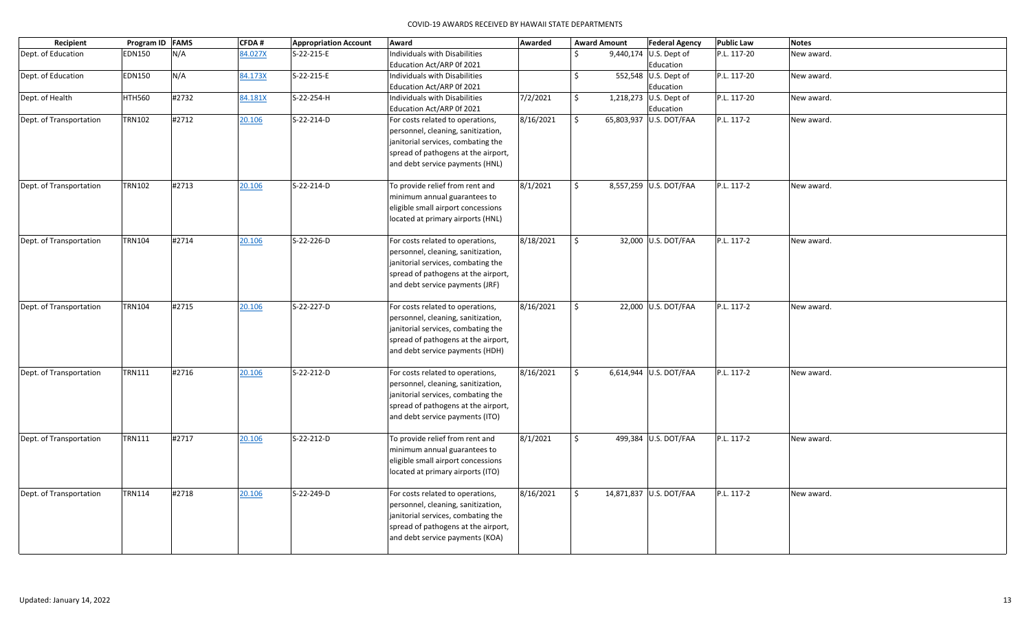| Recipient               | Program ID FAMS |       | <b>CFDA#</b> | <b>Appropriation Account</b> | Award                               | Awarded   |                    | <b>Award Amount</b> | <b>Federal Agency</b>   | <b>Public Law</b> | <b>Notes</b> |
|-------------------------|-----------------|-------|--------------|------------------------------|-------------------------------------|-----------|--------------------|---------------------|-------------------------|-------------------|--------------|
| Dept. of Education      | EDN150          | N/A   | 84.027X      | S-22-215-E                   | Individuals with Disabilities       |           | Ś.                 |                     | 9,440,174 U.S. Dept of  | P.L. 117-20       | New award.   |
|                         |                 |       |              |                              | Education Act/ARP 0f 2021           |           |                    |                     | Education               |                   |              |
| Dept. of Education      | <b>EDN150</b>   | N/A   | 84.173X      | S-22-215-E                   | Individuals with Disabilities       |           | \$                 |                     | 552,548 U.S. Dept of    | P.L. 117-20       | New award.   |
|                         |                 |       |              |                              | Education Act/ARP 0f 2021           |           |                    |                     | Education               |                   |              |
| Dept. of Health         | <b>HTH560</b>   | #2732 | 84.181X      | S-22-254-H                   | Individuals with Disabilities       | 7/2/2021  | \$                 |                     | 1,218,273 U.S. Dept of  | P.L. 117-20       | New award.   |
|                         |                 |       |              |                              | Education Act/ARP 0f 2021           |           |                    |                     | Education               |                   |              |
| Dept. of Transportation | <b>TRN102</b>   | #2712 | 20.106       | S-22-214-D                   | For costs related to operations,    | 8/16/2021 | \$                 |                     | 65,803,937 U.S. DOT/FAA | P.L. 117-2        | New award.   |
|                         |                 |       |              |                              | personnel, cleaning, sanitization,  |           |                    |                     |                         |                   |              |
|                         |                 |       |              |                              | janitorial services, combating the  |           |                    |                     |                         |                   |              |
|                         |                 |       |              |                              | spread of pathogens at the airport, |           |                    |                     |                         |                   |              |
|                         |                 |       |              |                              | and debt service payments (HNL)     |           |                    |                     |                         |                   |              |
| Dept. of Transportation | <b>TRN102</b>   | #2713 | 20.106       | S-22-214-D                   | To provide relief from rent and     | 8/1/2021  | \$                 |                     | 8,557,259 U.S. DOT/FAA  | P.L. 117-2        | New award.   |
|                         |                 |       |              |                              | minimum annual guarantees to        |           |                    |                     |                         |                   |              |
|                         |                 |       |              |                              | eligible small airport concessions  |           |                    |                     |                         |                   |              |
|                         |                 |       |              |                              | located at primary airports (HNL)   |           |                    |                     |                         |                   |              |
|                         |                 |       |              |                              |                                     |           |                    |                     |                         |                   |              |
| Dept. of Transportation | <b>TRN104</b>   | #2714 | 20.106       | S-22-226-D                   | For costs related to operations,    | 8/18/2021 | \$                 |                     | 32,000 U.S. DOT/FAA     | P.L. 117-2        | New award.   |
|                         |                 |       |              |                              | personnel, cleaning, sanitization,  |           |                    |                     |                         |                   |              |
|                         |                 |       |              |                              | janitorial services, combating the  |           |                    |                     |                         |                   |              |
|                         |                 |       |              |                              | spread of pathogens at the airport, |           |                    |                     |                         |                   |              |
|                         |                 |       |              |                              | and debt service payments (JRF)     |           |                    |                     |                         |                   |              |
| Dept. of Transportation | <b>TRN104</b>   | #2715 | 20.106       | S-22-227-D                   | For costs related to operations,    | 8/16/2021 | \$                 |                     | 22,000 U.S. DOT/FAA     | P.L. 117-2        | New award.   |
|                         |                 |       |              |                              | personnel, cleaning, sanitization,  |           |                    |                     |                         |                   |              |
|                         |                 |       |              |                              | janitorial services, combating the  |           |                    |                     |                         |                   |              |
|                         |                 |       |              |                              | spread of pathogens at the airport, |           |                    |                     |                         |                   |              |
|                         |                 |       |              |                              | and debt service payments (HDH)     |           |                    |                     |                         |                   |              |
|                         |                 |       |              |                              |                                     |           |                    |                     |                         |                   |              |
| Dept. of Transportation | <b>TRN111</b>   | #2716 | 20.106       | S-22-212-D                   | For costs related to operations,    | 8/16/2021 | \$                 |                     | 6,614,944 U.S. DOT/FAA  | P.L. 117-2        | New award.   |
|                         |                 |       |              |                              | personnel, cleaning, sanitization,  |           |                    |                     |                         |                   |              |
|                         |                 |       |              |                              | janitorial services, combating the  |           |                    |                     |                         |                   |              |
|                         |                 |       |              |                              | spread of pathogens at the airport, |           |                    |                     |                         |                   |              |
|                         |                 |       |              |                              | and debt service payments (ITO)     |           |                    |                     |                         |                   |              |
| Dept. of Transportation | <b>TRN111</b>   | #2717 | 20.106       | S-22-212-D                   | To provide relief from rent and     | 8/1/2021  | \$                 |                     | 499,384 U.S. DOT/FAA    | P.L. 117-2        | New award.   |
|                         |                 |       |              |                              | minimum annual guarantees to        |           |                    |                     |                         |                   |              |
|                         |                 |       |              |                              | eligible small airport concessions  |           |                    |                     |                         |                   |              |
|                         |                 |       |              |                              | located at primary airports (ITO)   |           |                    |                     |                         |                   |              |
|                         |                 |       |              |                              |                                     |           |                    |                     |                         |                   |              |
| Dept. of Transportation | <b>TRN114</b>   | #2718 | 20.106       | S-22-249-D                   | For costs related to operations,    | 8/16/2021 | $\dot{\mathsf{S}}$ |                     | 14,871,837 U.S. DOT/FAA | P.L. 117-2        | New award.   |
|                         |                 |       |              |                              | personnel, cleaning, sanitization,  |           |                    |                     |                         |                   |              |
|                         |                 |       |              |                              | janitorial services, combating the  |           |                    |                     |                         |                   |              |
|                         |                 |       |              |                              | spread of pathogens at the airport, |           |                    |                     |                         |                   |              |
|                         |                 |       |              |                              | and debt service payments (KOA)     |           |                    |                     |                         |                   |              |
|                         |                 |       |              |                              |                                     |           |                    |                     |                         |                   |              |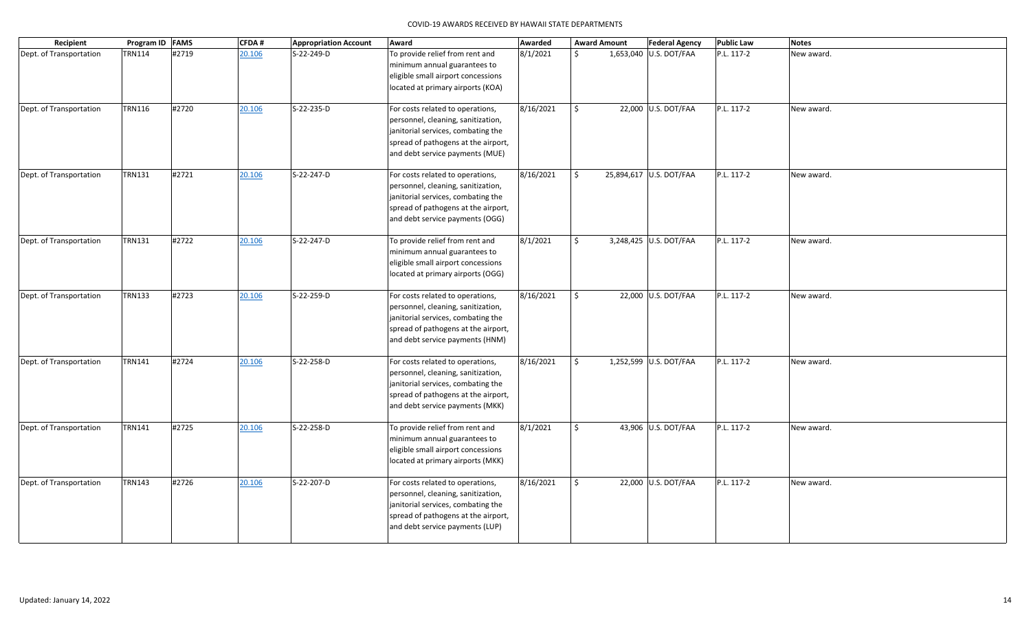| Recipient               | Program ID FAMS |       | <b>CFDA#</b> | <b>Appropriation Account</b> | Award                                                                                                                                                                                  | Awarded   |                     | <b>Award Amount</b> | <b>Federal Agency</b>   | <b>Public Law</b> | <b>Notes</b> |
|-------------------------|-----------------|-------|--------------|------------------------------|----------------------------------------------------------------------------------------------------------------------------------------------------------------------------------------|-----------|---------------------|---------------------|-------------------------|-------------------|--------------|
| Dept. of Transportation | <b>TRN114</b>   | #2719 | 20.106       | S-22-249-D                   | To provide relief from rent and<br>minimum annual guarantees to<br>eligible small airport concessions<br>located at primary airports (KOA)                                             | 8/1/2021  | \$                  |                     | 1,653,040 U.S. DOT/FAA  | P.L. 117-2        | New award.   |
| Dept. of Transportation | <b>TRN116</b>   | #2720 | 20.106       | S-22-235-D                   | For costs related to operations,<br>personnel, cleaning, sanitization,<br>janitorial services, combating the<br>spread of pathogens at the airport,<br>and debt service payments (MUE) | 8/16/2021 | \$                  |                     | 22,000 U.S. DOT/FAA     | P.L. 117-2        | New award.   |
| Dept. of Transportation | <b>TRN131</b>   | #2721 | 20.106       | S-22-247-D                   | For costs related to operations,<br>personnel, cleaning, sanitization,<br>janitorial services, combating the<br>spread of pathogens at the airport,<br>and debt service payments (OGG) | 8/16/2021 | \$                  |                     | 25,894,617 U.S. DOT/FAA | P.L. 117-2        | New award.   |
| Dept. of Transportation | <b>TRN131</b>   | #2722 | 20.106       | S-22-247-D                   | To provide relief from rent and<br>minimum annual guarantees to<br>eligible small airport concessions<br>located at primary airports (OGG)                                             | 8/1/2021  | $\ddot{\mathsf{S}}$ |                     | 3,248,425 U.S. DOT/FAA  | P.L. 117-2        | New award.   |
| Dept. of Transportation | <b>TRN133</b>   | #2723 | 20.106       | S-22-259-D                   | For costs related to operations,<br>personnel, cleaning, sanitization,<br>janitorial services, combating the<br>spread of pathogens at the airport,<br>and debt service payments (HNM) | 8/16/2021 | \$                  |                     | 22,000 U.S. DOT/FAA     | P.L. 117-2        | New award.   |
| Dept. of Transportation | <b>TRN141</b>   | #2724 | 20.106       | S-22-258-D                   | For costs related to operations,<br>personnel, cleaning, sanitization,<br>janitorial services, combating the<br>spread of pathogens at the airport,<br>and debt service payments (MKK) | 8/16/2021 | \$                  |                     | 1,252,599 U.S. DOT/FAA  | P.L. 117-2        | New award.   |
| Dept. of Transportation | <b>TRN141</b>   | #2725 | 20.106       | S-22-258-D                   | To provide relief from rent and<br>minimum annual guarantees to<br>eligible small airport concessions<br>located at primary airports (MKK)                                             | 8/1/2021  | Ś.                  |                     | 43,906 U.S. DOT/FAA     | P.L. 117-2        | New award.   |
| Dept. of Transportation | <b>TRN143</b>   | #2726 | 20.106       | S-22-207-D                   | For costs related to operations,<br>personnel, cleaning, sanitization,<br>janitorial services, combating the<br>spread of pathogens at the airport,<br>and debt service payments (LUP) | 8/16/2021 | \$                  |                     | 22,000 U.S. DOT/FAA     | P.L. 117-2        | New award.   |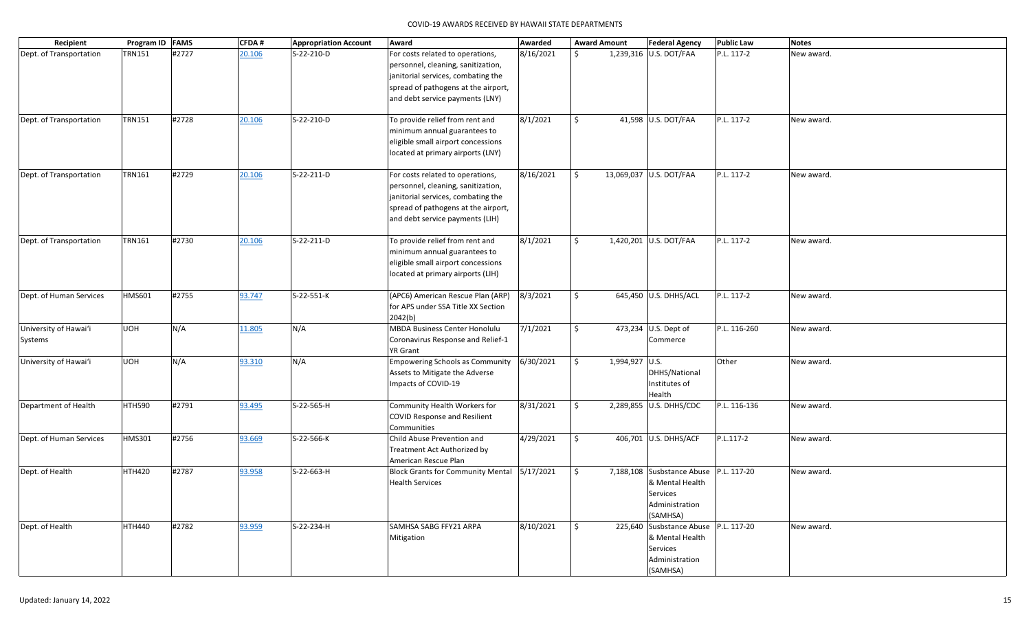| Recipient                        | Program ID FAMS |       | <b>CFDA#</b> | <b>Appropriation Account</b> | Award                                                                                                                                                                                  | Awarded   |                     | <b>Award Amount</b><br><b>Federal Agency</b>                                                        | <b>Public Law</b> | <b>Notes</b> |
|----------------------------------|-----------------|-------|--------------|------------------------------|----------------------------------------------------------------------------------------------------------------------------------------------------------------------------------------|-----------|---------------------|-----------------------------------------------------------------------------------------------------|-------------------|--------------|
| Dept. of Transportation          | <b>TRN151</b>   | #2727 | 20.106       | S-22-210-D                   | For costs related to operations,<br>personnel, cleaning, sanitization,<br>janitorial services, combating the<br>spread of pathogens at the airport,<br>and debt service payments (LNY) | 8/16/2021 | Ŝ.                  | 1,239,316 U.S. DOT/FAA                                                                              | P.L. 117-2        | New award.   |
| Dept. of Transportation          | <b>TRN151</b>   | #2728 | 20.106       | S-22-210-D                   | To provide relief from rent and<br>minimum annual guarantees to<br>eligible small airport concessions<br>located at primary airports (LNY)                                             | 8/1/2021  | \$                  | 41,598 U.S. DOT/FAA                                                                                 | P.L. 117-2        | New award.   |
| Dept. of Transportation          | <b>TRN161</b>   | #2729 | 20.106       | S-22-211-D                   | For costs related to operations,<br>personnel, cleaning, sanitization,<br>janitorial services, combating the<br>spread of pathogens at the airport,<br>and debt service payments (LIH) | 8/16/2021 | $\ddot{\mathsf{S}}$ | 13,069,037 U.S. DOT/FAA                                                                             | P.L. 117-2        | New award.   |
| Dept. of Transportation          | <b>TRN161</b>   | #2730 | 20.106       | S-22-211-D                   | To provide relief from rent and<br>minimum annual guarantees to<br>eligible small airport concessions<br>located at primary airports (LIH)                                             | 8/1/2021  | Ŝ.                  | 1,420,201 U.S. DOT/FAA                                                                              | P.L. 117-2        | New award.   |
| Dept. of Human Services          | <b>HMS601</b>   | #2755 | 93.747       | S-22-551-K                   | (APC6) American Rescue Plan (ARP)<br>for APS under SSA Title XX Section<br>2042(b)                                                                                                     | 8/3/2021  | \$                  | 645,450 U.S. DHHS/ACL                                                                               | P.L. 117-2        | New award.   |
| University of Hawai'i<br>Systems | <b>UOH</b>      | N/A   | 11.805       | N/A                          | <b>MBDA Business Center Honolulu</b><br>Coronavirus Response and Relief-1<br>YR Grant                                                                                                  | 7/1/2021  | \$                  | 473,234 U.S. Dept of<br>Commerce                                                                    | P.L. 116-260      | New award.   |
| University of Hawai'i            | <b>UOH</b>      | N/A   | 93.310       | N/A                          | <b>Empowering Schools as Community</b><br>Assets to Mitigate the Adverse<br>Impacts of COVID-19                                                                                        | 6/30/2021 | \$                  | 1,994,927 U.S.<br>DHHS/National<br>Institutes of<br>Health                                          | Other             | New award.   |
| Department of Health             | HTH590          | #2791 | 93.495       | S-22-565-H                   | Community Health Workers for<br>COVID Response and Resilient<br>Communities                                                                                                            | 8/31/2021 | \$                  | 2,289,855 U.S. DHHS/CDC                                                                             | P.L. 116-136      | New award.   |
| Dept. of Human Services          | <b>HMS301</b>   | #2756 | 93.669       | S-22-566-K                   | Child Abuse Prevention and<br>Treatment Act Authorized by<br>American Rescue Plan                                                                                                      | 4/29/2021 | \$                  | 406,701 U.S. DHHS/ACF                                                                               | P.L.117-2         | New award.   |
| Dept. of Health                  | <b>HTH420</b>   | #2787 | 93.958       | S-22-663-H                   | Block Grants for Community Mental 5/17/2021<br><b>Health Services</b>                                                                                                                  |           | \$                  | 7,188,108 Susbstance Abuse P.L. 117-20<br>& Mental Health<br>Services<br>Administration<br>(SAMHSA) |                   | New award.   |
| Dept. of Health                  | <b>HTH440</b>   | #2782 | 93.959       | S-22-234-H                   | SAMHSA SABG FFY21 ARPA<br>Mitigation                                                                                                                                                   | 8/10/2021 | \$                  | 225,640 Susbstance Abuse P.L. 117-20<br>& Mental Health<br>Services<br>Administration<br>(SAMHSA)   |                   | New award.   |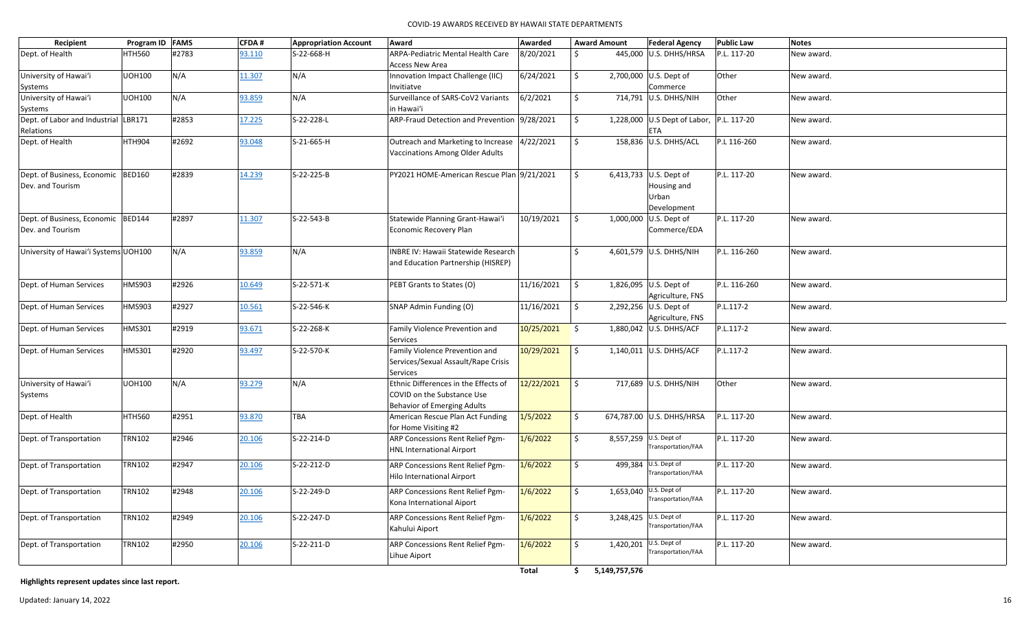| Recipient                            | Program ID FAMS |       | <b>CFDA#</b> | <b>Appropriation Account</b> | Award                                        | Awarded         | <b>Award Amount</b>      |         | <b>Federal Agency</b>                    | <b>Public Law</b> | <b>Notes</b> |
|--------------------------------------|-----------------|-------|--------------|------------------------------|----------------------------------------------|-----------------|--------------------------|---------|------------------------------------------|-------------------|--------------|
| Dept. of Health                      | <b>HTH560</b>   | #2783 | 93.110       | S-22-668-H                   | ARPA-Pediatric Mental Health Care            | 8/20/2021       | \$                       |         | 445,000 U.S. DHHS/HRSA                   | P.L. 117-20       | New award.   |
|                                      |                 |       |              |                              | <b>Access New Area</b>                       |                 |                          |         |                                          |                   |              |
|                                      | <b>UOH100</b>   | N/A   | 11.307       | N/A                          |                                              | 6/24/2021       | \$                       |         |                                          | Other             |              |
| University of Hawai'i                |                 |       |              |                              | Innovation Impact Challenge (IIC)            |                 |                          |         | 2,700,000 U.S. Dept of<br>Commerce       |                   | New award.   |
| Systems                              |                 |       |              | N/A                          | Invitiatve                                   |                 | \$                       |         |                                          |                   |              |
| University of Hawai'i                | <b>UOH100</b>   | N/A   | 93.859       |                              | Surveillance of SARS-CoV2 Variants           | 6/2/2021        |                          |         | 714,791 U.S. DHHS/NIH                    | Other             | New award.   |
| Systems                              |                 |       |              |                              | in Hawai'i                                   |                 |                          |         |                                          |                   |              |
| Dept. of Labor and Industrial LBR171 |                 | #2853 | 17.225       | S-22-228-L                   | ARP-Fraud Detection and Prevention 9/28/2021 |                 | \$                       |         | 1,228,000 U.S Dept of Labor, P.L. 117-20 |                   | New award.   |
| Relations                            |                 |       |              |                              |                                              |                 |                          |         | <b>ETA</b>                               |                   |              |
| Dept. of Health                      | HTH904          | #2692 | 93.048       | S-21-665-H                   | Outreach and Marketing to Increase 4/22/2021 |                 | $\frac{1}{2}$            |         | 158,836 U.S. DHHS/ACL                    | P.L 116-260       | New award.   |
|                                      |                 |       |              |                              | <b>Vaccinations Among Older Adults</b>       |                 |                          |         |                                          |                   |              |
|                                      |                 |       |              |                              |                                              |                 |                          |         |                                          |                   |              |
| Dept. of Business, Economic  BED160  |                 | #2839 | 14.239       | S-22-225-B                   | PY2021 HOME-American Rescue Plan 9/21/2021   |                 | \$                       |         | 6,413,733 U.S. Dept of                   | P.L. 117-20       | New award.   |
| Dev. and Tourism                     |                 |       |              |                              |                                              |                 |                          |         | Housing and                              |                   |              |
|                                      |                 |       |              |                              |                                              |                 |                          |         | Urban                                    |                   |              |
|                                      |                 |       |              |                              |                                              |                 |                          |         | Development                              |                   |              |
| Dept. of Business, Economic BED144   |                 | #2897 | 11.307       | S-22-543-B                   | Statewide Planning Grant-Hawai'i             | 10/19/2021      | l \$                     |         | 1,000,000 U.S. Dept of                   | P.L. 117-20       | New award.   |
| Dev. and Tourism                     |                 |       |              |                              | Economic Recovery Plan                       |                 |                          |         | Commerce/EDA                             |                   |              |
|                                      |                 |       |              |                              |                                              |                 |                          |         |                                          |                   |              |
| University of Hawai'i Systems UOH100 |                 | N/A   | 93.859       | N/A                          | <b>INBRE IV: Hawaii Statewide Research</b>   |                 | \$                       |         | 4,601,579 U.S. DHHS/NIH                  | P.L. 116-260      | New award.   |
|                                      |                 |       |              |                              | and Education Partnership (HISREP)           |                 |                          |         |                                          |                   |              |
|                                      |                 |       |              |                              |                                              |                 |                          |         |                                          |                   |              |
| Dept. of Human Services              | HMS903          | #2926 | 10.649       | S-22-571-K                   | PEBT Grants to States (O)                    | 11/16/2021      | \$                       |         | 1,826,095 U.S. Dept of                   | P.L. 116-260      | New award.   |
|                                      |                 |       |              |                              |                                              |                 |                          |         | Agriculture, FNS                         |                   |              |
| Dept. of Human Services              | <b>HMS903</b>   | #2927 | 10.561       | S-22-546-K                   | SNAP Admin Funding (O)                       | 11/16/2021      | l \$                     |         | 2,292,256 U.S. Dept of                   | P.L.117-2         | New award.   |
|                                      |                 |       |              |                              |                                              |                 |                          |         | Agriculture, FNS                         |                   |              |
| Dept. of Human Services              | HMS301          | #2919 | 93.671       | S-22-268-K                   | Family Violence Prevention and               | $10/25/2021$ \$ |                          |         | 1,880,042 U.S. DHHS/ACF                  | P.L.117-2         | New award.   |
|                                      |                 |       |              |                              | <b>Services</b>                              |                 |                          |         |                                          |                   |              |
| Dept. of Human Services              | HMS301          | #2920 | 93.497       | S-22-570-K                   | Family Violence Prevention and               | 10/29/2021      | $\vert \mathsf{s} \vert$ |         | 1,140,011 U.S. DHHS/ACF                  | P.L.117-2         | New award.   |
|                                      |                 |       |              |                              | Services/Sexual Assault/Rape Crisis          |                 |                          |         |                                          |                   |              |
|                                      |                 |       |              |                              | <b>Services</b>                              |                 |                          |         |                                          |                   |              |
| University of Hawai'i                | <b>UOH100</b>   | N/A   | 93.279       | N/A                          | Ethnic Differences in the Effects of         | 12/22/2021      | $\mathsf{S}$             |         | 717,689 U.S. DHHS/NIH                    | Other             | New award.   |
| Systems                              |                 |       |              |                              | COVID on the Substance Use                   |                 |                          |         |                                          |                   |              |
|                                      |                 |       |              |                              | <b>Behavior of Emerging Adults</b>           |                 |                          |         |                                          |                   |              |
| Dept. of Health                      | <b>HTH560</b>   | #2951 | 93.870       | <b>TBA</b>                   | American Rescue Plan Act Funding             | 1/5/2022        | $\mathsf{S}$             |         | 674,787.00 U.S. DHHS/HRSA                | P.L. 117-20       | New award.   |
|                                      |                 |       |              |                              | for Home Visiting #2                         |                 |                          |         |                                          |                   |              |
| Dept. of Transportation              | <b>TRN102</b>   | #2946 | 20.106       | S-22-214-D                   | ARP Concessions Rent Relief Pgm-             | 1/6/2022        | \$                       |         | 8,557,259 U.S. Dept of                   | P.L. 117-20       | New award.   |
|                                      |                 |       |              |                              | <b>HNL International Airport</b>             |                 |                          |         | Transportation/FAA                       |                   |              |
|                                      |                 |       |              |                              |                                              |                 |                          |         |                                          |                   |              |
| Dept. of Transportation              | <b>TRN102</b>   | #2947 | 20.106       | S-22-212-D                   | ARP Concessions Rent Relief Pgm-             | 1/6/2022        | Ŝ.                       | 499,384 | U.S. Dept of<br>Transportation/FAA       | P.L. 117-20       | New award.   |
|                                      |                 |       |              |                              | <b>Hilo International Airport</b>            |                 |                          |         |                                          |                   |              |
| Dept. of Transportation              | <b>TRN102</b>   | #2948 | 20.106       | S-22-249-D                   | ARP Concessions Rent Relief Pgm-             | 1/6/2022        | \$                       |         | 1,653,040 U.S. Dept of                   | P.L. 117-20       | New award.   |
|                                      |                 |       |              |                              | Kona International Aiport                    |                 |                          |         | Transportation/FAA                       |                   |              |
|                                      |                 |       |              |                              |                                              |                 |                          |         | 3,248,425 U.S. Dept of                   |                   |              |
| Dept. of Transportation              | <b>TRN102</b>   | #2949 | 20.106       | S-22-247-D                   | ARP Concessions Rent Relief Pgm-             | 1/6/2022        | \$                       |         | Transportation/FAA                       | P.L. 117-20       | New award.   |
|                                      |                 |       |              |                              | Kahului Aiport                               |                 |                          |         |                                          |                   |              |
| Dept. of Transportation              | <b>TRN102</b>   | #2950 | 20.106       | S-22-211-D                   | ARP Concessions Rent Relief Pgm-             | 1/6/2022        | \$                       |         | 1,420,201 U.S. Dept of                   | P.L. 117-20       | New award.   |
|                                      |                 |       |              |                              | Lihue Aiport                                 |                 |                          |         | Transportation/FAA                       |                   |              |
|                                      |                 |       |              |                              |                                              |                 |                          |         |                                          |                   |              |

# **Highlights represent updates since last report.**